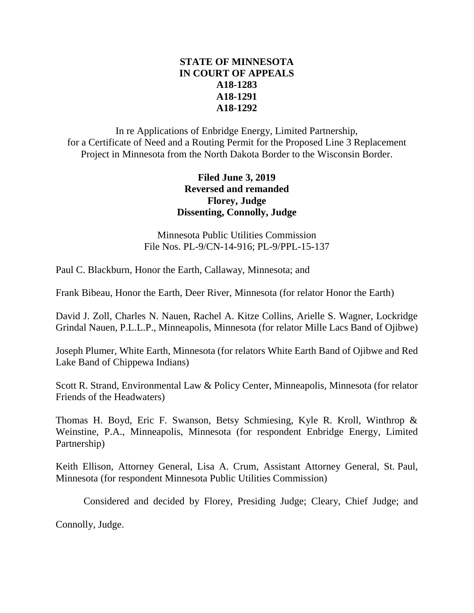# **STATE OF MINNESOTA IN COURT OF APPEALS A18-1283 A18-1291 A18-1292**

In re Applications of Enbridge Energy, Limited Partnership, for a Certificate of Need and a Routing Permit for the Proposed Line 3 Replacement Project in Minnesota from the North Dakota Border to the Wisconsin Border.

# **Filed June 3, 2019 Reversed and remanded Florey, Judge Dissenting, Connolly, Judge**

Minnesota Public Utilities Commission File Nos. PL-9/CN-14-916; PL-9/PPL-15-137

Paul C. Blackburn, Honor the Earth, Callaway, Minnesota; and

Frank Bibeau, Honor the Earth, Deer River, Minnesota (for relator Honor the Earth)

David J. Zoll, Charles N. Nauen, Rachel A. Kitze Collins, Arielle S. Wagner, Lockridge Grindal Nauen, P.L.L.P., Minneapolis, Minnesota (for relator Mille Lacs Band of Ojibwe)

Joseph Plumer, White Earth, Minnesota (for relators White Earth Band of Ojibwe and Red Lake Band of Chippewa Indians)

Scott R. Strand, Environmental Law & Policy Center, Minneapolis, Minnesota (for relator Friends of the Headwaters)

Thomas H. Boyd, Eric F. Swanson, Betsy Schmiesing, Kyle R. Kroll, Winthrop & Weinstine, P.A., Minneapolis, Minnesota (for respondent Enbridge Energy, Limited Partnership)

Keith Ellison, Attorney General, Lisa A. Crum, Assistant Attorney General, St. Paul, Minnesota (for respondent Minnesota Public Utilities Commission)

Considered and decided by Florey, Presiding Judge; Cleary, Chief Judge; and

Connolly, Judge.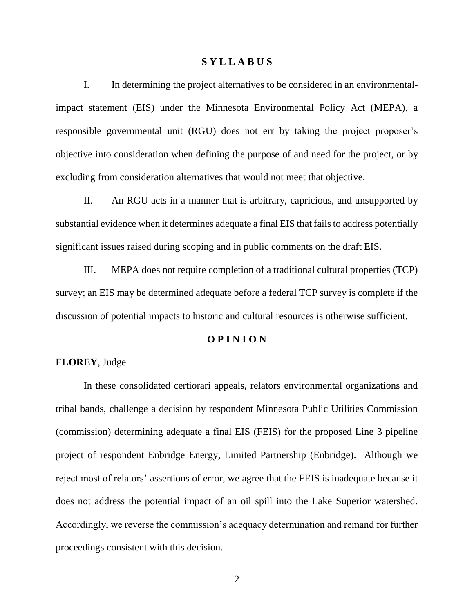#### **S Y L L A B U S**

I. In determining the project alternatives to be considered in an environmentalimpact statement (EIS) under the Minnesota Environmental Policy Act (MEPA), a responsible governmental unit (RGU) does not err by taking the project proposer's objective into consideration when defining the purpose of and need for the project, or by excluding from consideration alternatives that would not meet that objective.

II. An RGU acts in a manner that is arbitrary, capricious, and unsupported by substantial evidence when it determines adequate a final EIS that fails to address potentially significant issues raised during scoping and in public comments on the draft EIS.

III. MEPA does not require completion of a traditional cultural properties (TCP) survey; an EIS may be determined adequate before a federal TCP survey is complete if the discussion of potential impacts to historic and cultural resources is otherwise sufficient.

#### **O P I N I O N**

### **FLOREY**, Judge

In these consolidated certiorari appeals, relators environmental organizations and tribal bands, challenge a decision by respondent Minnesota Public Utilities Commission (commission) determining adequate a final EIS (FEIS) for the proposed Line 3 pipeline project of respondent Enbridge Energy, Limited Partnership (Enbridge). Although we reject most of relators' assertions of error, we agree that the FEIS is inadequate because it does not address the potential impact of an oil spill into the Lake Superior watershed. Accordingly, we reverse the commission's adequacy determination and remand for further proceedings consistent with this decision.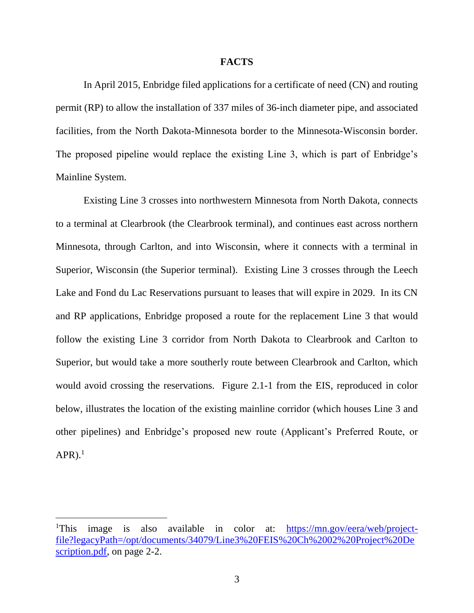#### **FACTS**

In April 2015, Enbridge filed applications for a certificate of need (CN) and routing permit (RP) to allow the installation of 337 miles of 36-inch diameter pipe, and associated facilities, from the North Dakota-Minnesota border to the Minnesota-Wisconsin border. The proposed pipeline would replace the existing Line 3, which is part of Enbridge's Mainline System.

Existing Line 3 crosses into northwestern Minnesota from North Dakota, connects to a terminal at Clearbrook (the Clearbrook terminal), and continues east across northern Minnesota, through Carlton, and into Wisconsin, where it connects with a terminal in Superior, Wisconsin (the Superior terminal). Existing Line 3 crosses through the Leech Lake and Fond du Lac Reservations pursuant to leases that will expire in 2029. In its CN and RP applications, Enbridge proposed a route for the replacement Line 3 that would follow the existing Line 3 corridor from North Dakota to Clearbrook and Carlton to Superior, but would take a more southerly route between Clearbrook and Carlton, which would avoid crossing the reservations. Figure 2.1-1 from the EIS, reproduced in color below, illustrates the location of the existing mainline corridor (which houses Line 3 and other pipelines) and Enbridge's proposed new route (Applicant's Preferred Route, or  $APR$ ).<sup>1</sup>

<sup>&</sup>lt;sup>1</sup>This image is also available in color at: [https://mn.gov/eera/web/project](https://mn.gov/eera/web/project-file?legacyPath=/opt/documents/34079/Line3%20FEIS%20Ch%2002%20Project%20Description.pdf)[file?legacyPath=/opt/documents/34079/Line3%20FEIS%20Ch%2002%20Project%20De](https://mn.gov/eera/web/project-file?legacyPath=/opt/documents/34079/Line3%20FEIS%20Ch%2002%20Project%20Description.pdf) [scription.pdf,](https://mn.gov/eera/web/project-file?legacyPath=/opt/documents/34079/Line3%20FEIS%20Ch%2002%20Project%20Description.pdf) on page 2-2.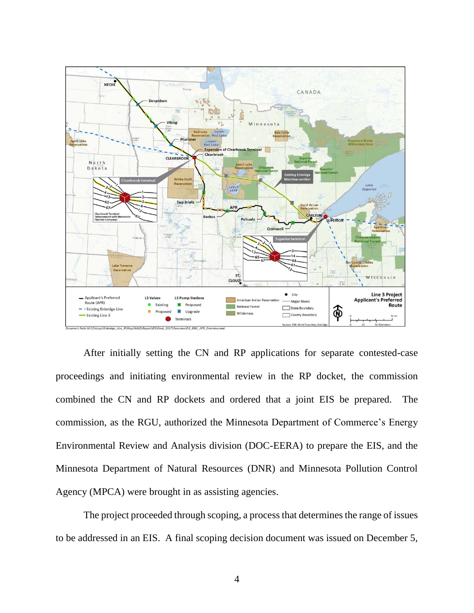

After initially setting the CN and RP applications for separate contested-case proceedings and initiating environmental review in the RP docket, the commission combined the CN and RP dockets and ordered that a joint EIS be prepared. The commission, as the RGU, authorized the Minnesota Department of Commerce's Energy Environmental Review and Analysis division (DOC-EERA) to prepare the EIS, and the Minnesota Department of Natural Resources (DNR) and Minnesota Pollution Control Agency (MPCA) were brought in as assisting agencies.

The project proceeded through scoping, a process that determines the range of issues to be addressed in an EIS. A final scoping decision document was issued on December 5,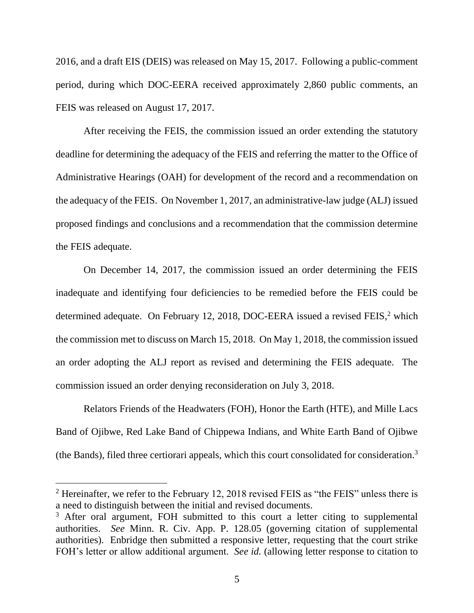2016, and a draft EIS (DEIS) was released on May 15, 2017. Following a public-comment period, during which DOC-EERA received approximately 2,860 public comments, an FEIS was released on August 17, 2017.

After receiving the FEIS, the commission issued an order extending the statutory deadline for determining the adequacy of the FEIS and referring the matter to the Office of Administrative Hearings (OAH) for development of the record and a recommendation on the adequacy of the FEIS. On November 1, 2017, an administrative-law judge (ALJ) issued proposed findings and conclusions and a recommendation that the commission determine the FEIS adequate.

On December 14, 2017, the commission issued an order determining the FEIS inadequate and identifying four deficiencies to be remedied before the FEIS could be determined adequate. On February 12, 2018, DOC-EERA issued a revised FEIS,<sup>2</sup> which the commission met to discuss on March 15, 2018. On May 1, 2018, the commission issued an order adopting the ALJ report as revised and determining the FEIS adequate. The commission issued an order denying reconsideration on July 3, 2018.

Relators Friends of the Headwaters (FOH), Honor the Earth (HTE), and Mille Lacs Band of Ojibwe, Red Lake Band of Chippewa Indians, and White Earth Band of Ojibwe (the Bands), filed three certiorari appeals, which this court consolidated for consideration. 3

 $2$  Hereinafter, we refer to the February 12, 2018 revised FEIS as "the FEIS" unless there is a need to distinguish between the initial and revised documents.

<sup>&</sup>lt;sup>3</sup> After oral argument, FOH submitted to this court a letter citing to supplemental authorities. *See* Minn. R. Civ. App. P. 128.05 (governing citation of supplemental authorities). Enbridge then submitted a responsive letter, requesting that the court strike FOH's letter or allow additional argument. *See id.* (allowing letter response to citation to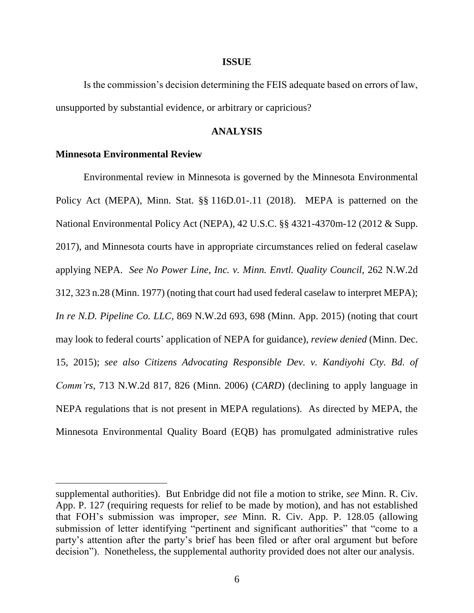#### **ISSUE**

Is the commission's decision determining the FEIS adequate based on errors of law, unsupported by substantial evidence, or arbitrary or capricious?

#### **ANALYSIS**

### **Minnesota Environmental Review**

Environmental review in Minnesota is governed by the Minnesota Environmental Policy Act (MEPA), Minn. Stat. §§ 116D.01-.11 (2018). MEPA is patterned on the National Environmental Policy Act (NEPA), 42 U.S.C. §§ 4321-4370m-12 (2012 & Supp. 2017), and Minnesota courts have in appropriate circumstances relied on federal caselaw applying NEPA. *See No Power Line, Inc. v. Minn. Envtl. Quality Council*, 262 N.W.2d 312, 323 n.28 (Minn. 1977) (noting that court had used federal caselaw to interpret MEPA); *In re N.D. Pipeline Co. LLC*, 869 N.W.2d 693, 698 (Minn. App. 2015) (noting that court may look to federal courts' application of NEPA for guidance), *review denied* (Minn. Dec. 15, 2015); *see also Citizens Advocating Responsible Dev. v. Kandiyohi Cty. Bd. of Comm'rs*, 713 N.W.2d 817, 826 (Minn. 2006) (*CARD*) (declining to apply language in NEPA regulations that is not present in MEPA regulations). As directed by MEPA, the Minnesota Environmental Quality Board (EQB) has promulgated administrative rules

supplemental authorities). But Enbridge did not file a motion to strike, *see* Minn. R. Civ. App. P. 127 (requiring requests for relief to be made by motion), and has not established that FOH's submission was improper, *see* Minn. R. Civ. App. P. 128.05 (allowing submission of letter identifying "pertinent and significant authorities" that "come to a party's attention after the party's brief has been filed or after oral argument but before decision"). Nonetheless, the supplemental authority provided does not alter our analysis.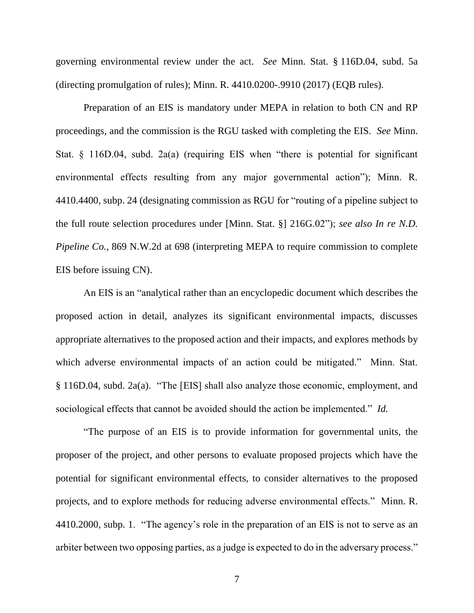governing environmental review under the act. *See* Minn. Stat. § 116D.04, subd. 5a (directing promulgation of rules); Minn. R. 4410.0200-.9910 (2017) (EQB rules).

Preparation of an EIS is mandatory under MEPA in relation to both CN and RP proceedings, and the commission is the RGU tasked with completing the EIS. *See* Minn. Stat. § 116D.04, subd. 2a(a) (requiring EIS when "there is potential for significant environmental effects resulting from any major governmental action"); Minn. R. 4410.4400, subp. 24 (designating commission as RGU for "routing of a pipeline subject to the full route selection procedures under [Minn. Stat. §] 216G.02"); *see also In re N.D. Pipeline Co.*, 869 N.W.2d at 698 (interpreting MEPA to require commission to complete EIS before issuing CN).

An EIS is an "analytical rather than an encyclopedic document which describes the proposed action in detail, analyzes its significant environmental impacts, discusses appropriate alternatives to the proposed action and their impacts, and explores methods by which adverse environmental impacts of an action could be mitigated." Minn. Stat. § 116D.04, subd. 2a(a). "The [EIS] shall also analyze those economic, employment, and sociological effects that cannot be avoided should the action be implemented." *Id.*

"The purpose of an EIS is to provide information for governmental units, the proposer of the project, and other persons to evaluate proposed projects which have the potential for significant environmental effects, to consider alternatives to the proposed projects, and to explore methods for reducing adverse environmental effects." Minn. R. 4410.2000, subp. 1. "The agency's role in the preparation of an EIS is not to serve as an arbiter between two opposing parties, as a judge is expected to do in the adversary process."

7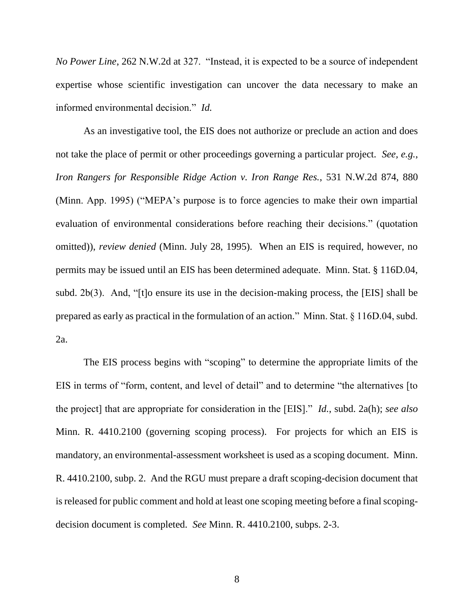*No Power Line*, 262 N.W.2d at 327. "Instead, it is expected to be a source of independent expertise whose scientific investigation can uncover the data necessary to make an informed environmental decision." *Id.*

As an investigative tool, the EIS does not authorize or preclude an action and does not take the place of permit or other proceedings governing a particular project. *See, e.g.*, *Iron Rangers for Responsible Ridge Action v. Iron Range Res.*, 531 N.W.2d 874, 880 (Minn. App. 1995) ("MEPA's purpose is to force agencies to make their own impartial evaluation of environmental considerations before reaching their decisions." (quotation omitted)), *review denied* (Minn. July 28, 1995). When an EIS is required, however, no permits may be issued until an EIS has been determined adequate. Minn. Stat. § 116D.04, subd. 2b(3). And, "[t]o ensure its use in the decision-making process, the [EIS] shall be prepared as early as practical in the formulation of an action." Minn. Stat. § 116D.04, subd. 2a.

The EIS process begins with "scoping" to determine the appropriate limits of the EIS in terms of "form, content, and level of detail" and to determine "the alternatives [to the project] that are appropriate for consideration in the [EIS]." *Id.*, subd. 2a(h); *see also*  Minn. R. 4410.2100 (governing scoping process). For projects for which an EIS is mandatory, an environmental-assessment worksheet is used as a scoping document. Minn. R. 4410.2100, subp. 2. And the RGU must prepare a draft scoping-decision document that is released for public comment and hold at least one scoping meeting before a final scopingdecision document is completed. *See* Minn. R. 4410.2100, subps. 2-3.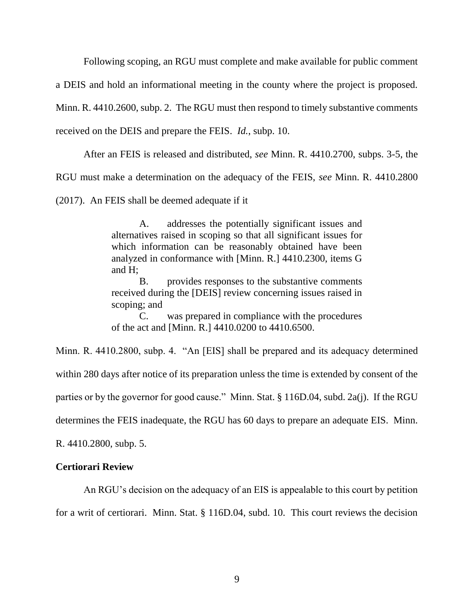Following scoping, an RGU must complete and make available for public comment

a DEIS and hold an informational meeting in the county where the project is proposed.

Minn. R. 4410.2600, subp. 2. The RGU must then respond to timely substantive comments

received on the DEIS and prepare the FEIS. *Id.*, subp. 10.

After an FEIS is released and distributed, *see* Minn. R. 4410.2700, subps. 3-5, the

RGU must make a determination on the adequacy of the FEIS, *see* Minn. R. 4410.2800

(2017). An FEIS shall be deemed adequate if it

A. addresses the potentially significant issues and alternatives raised in scoping so that all significant issues for which information can be reasonably obtained have been analyzed in conformance with [Minn. R.] 4410.2300, items G and H;

B. provides responses to the substantive comments received during the [DEIS] review concerning issues raised in scoping; and

C. was prepared in compliance with the procedures of the act and [Minn. R.] 4410.0200 to 4410.6500.

Minn. R. 4410.2800, subp. 4. "An [EIS] shall be prepared and its adequacy determined within 280 days after notice of its preparation unless the time is extended by consent of the parties or by the governor for good cause." Minn. Stat. § 116D.04, subd. 2a(j). If the RGU determines the FEIS inadequate, the RGU has 60 days to prepare an adequate EIS. Minn.

R. 4410.2800, subp. 5.

### **Certiorari Review**

An RGU's decision on the adequacy of an EIS is appealable to this court by petition

for a writ of certiorari. Minn. Stat. § 116D.04, subd. 10. This court reviews the decision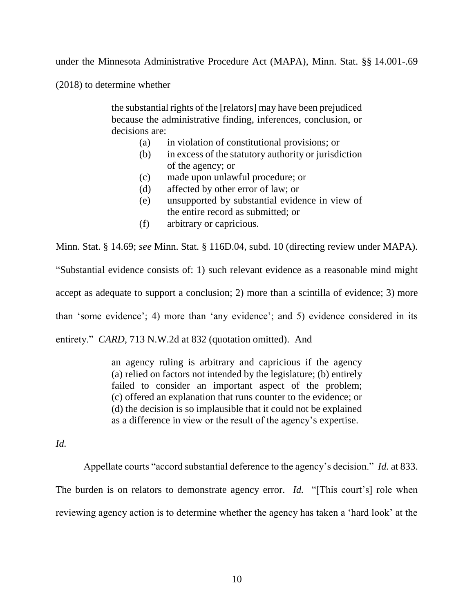under the Minnesota Administrative Procedure Act (MAPA), Minn. Stat. §§ 14.001-.69

(2018) to determine whether

the substantial rights of the [relators] may have been prejudiced because the administrative finding, inferences, conclusion, or decisions are:

- (a) in violation of constitutional provisions; or
- (b) in excess of the statutory authority or jurisdiction of the agency; or
- (c) made upon unlawful procedure; or
- (d) affected by other error of law; or
- (e) unsupported by substantial evidence in view of the entire record as submitted; or
- (f) arbitrary or capricious.

Minn. Stat. § 14.69; *see* Minn. Stat. § 116D.04, subd. 10 (directing review under MAPA). "Substantial evidence consists of: 1) such relevant evidence as a reasonable mind might accept as adequate to support a conclusion; 2) more than a scintilla of evidence; 3) more than 'some evidence'; 4) more than 'any evidence'; and 5) evidence considered in its entirety." *CARD*, 713 N.W.2d at 832 (quotation omitted). And

> an agency ruling is arbitrary and capricious if the agency (a) relied on factors not intended by the legislature; (b) entirely failed to consider an important aspect of the problem; (c) offered an explanation that runs counter to the evidence; or (d) the decision is so implausible that it could not be explained as a difference in view or the result of the agency's expertise.

*Id.*

Appellate courts "accord substantial deference to the agency's decision." *Id.* at 833. The burden is on relators to demonstrate agency error. *Id.* "[This court's] role when reviewing agency action is to determine whether the agency has taken a 'hard look' at the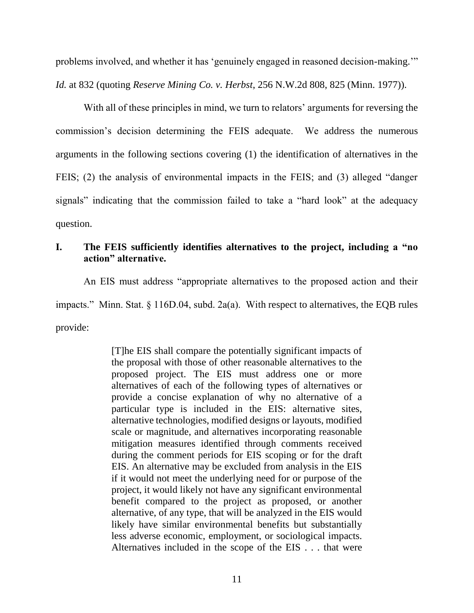problems involved, and whether it has 'genuinely engaged in reasoned decision-making.'" *Id.* at 832 (quoting *Reserve Mining Co. v. Herbst*, 256 N.W.2d 808, 825 (Minn. 1977)).

With all of these principles in mind, we turn to relators' arguments for reversing the commission's decision determining the FEIS adequate. We address the numerous arguments in the following sections covering (1) the identification of alternatives in the FEIS; (2) the analysis of environmental impacts in the FEIS; and (3) alleged "danger signals" indicating that the commission failed to take a "hard look" at the adequacy question.

# **I. The FEIS sufficiently identifies alternatives to the project, including a "no action" alternative.**

An EIS must address "appropriate alternatives to the proposed action and their impacts." Minn. Stat. § 116D.04, subd. 2a(a). With respect to alternatives, the EQB rules provide:

> [T]he EIS shall compare the potentially significant impacts of the proposal with those of other reasonable alternatives to the proposed project. The EIS must address one or more alternatives of each of the following types of alternatives or provide a concise explanation of why no alternative of a particular type is included in the EIS: alternative sites, alternative technologies, modified designs or layouts, modified scale or magnitude, and alternatives incorporating reasonable mitigation measures identified through comments received during the comment periods for EIS scoping or for the draft EIS. An alternative may be excluded from analysis in the EIS if it would not meet the underlying need for or purpose of the project, it would likely not have any significant environmental benefit compared to the project as proposed, or another alternative, of any type, that will be analyzed in the EIS would likely have similar environmental benefits but substantially less adverse economic, employment, or sociological impacts. Alternatives included in the scope of the EIS . . . that were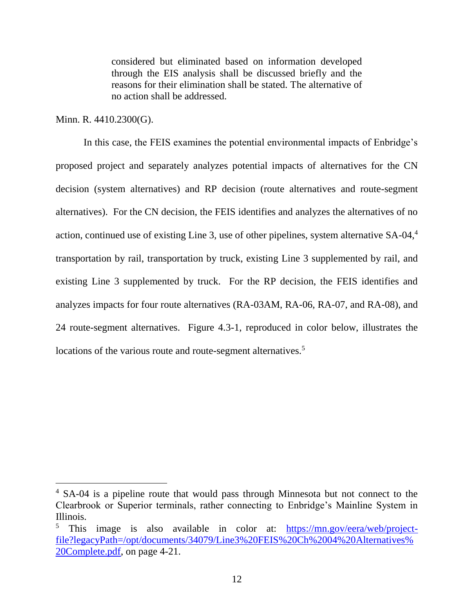considered but eliminated based on information developed through the EIS analysis shall be discussed briefly and the reasons for their elimination shall be stated. The alternative of no action shall be addressed.

### Minn. R. 4410.2300(G).

In this case, the FEIS examines the potential environmental impacts of Enbridge's proposed project and separately analyzes potential impacts of alternatives for the CN decision (system alternatives) and RP decision (route alternatives and route-segment alternatives). For the CN decision, the FEIS identifies and analyzes the alternatives of no action, continued use of existing Line 3, use of other pipelines, system alternative SA-04,<sup>4</sup> transportation by rail, transportation by truck, existing Line 3 supplemented by rail, and existing Line 3 supplemented by truck. For the RP decision, the FEIS identifies and analyzes impacts for four route alternatives (RA-03AM, RA-06, RA-07, and RA-08), and 24 route-segment alternatives. Figure 4.3-1, reproduced in color below, illustrates the locations of the various route and route-segment alternatives.<sup>5</sup>

<sup>&</sup>lt;sup>4</sup> SA-04 is a pipeline route that would pass through Minnesota but not connect to the Clearbrook or Superior terminals, rather connecting to Enbridge's Mainline System in Illinois.

<sup>5</sup> This image is also available in color at: [https://mn.gov/eera/web/project](https://mn.gov/eera/web/project-file?legacyPath=/opt/documents/34079/Line3%20FEIS%20Ch%2004%20Alternatives%20Complete.pdf)[file?legacyPath=/opt/documents/34079/Line3%20FEIS%20Ch%2004%20Alternatives%](https://mn.gov/eera/web/project-file?legacyPath=/opt/documents/34079/Line3%20FEIS%20Ch%2004%20Alternatives%20Complete.pdf) [20Complete.pdf,](https://mn.gov/eera/web/project-file?legacyPath=/opt/documents/34079/Line3%20FEIS%20Ch%2004%20Alternatives%20Complete.pdf) on page 4-21.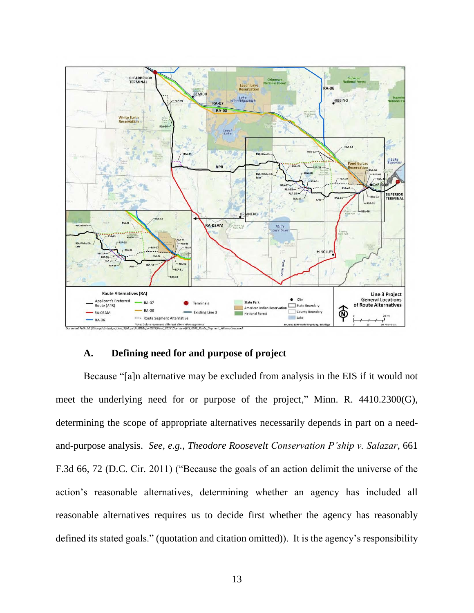

### **A. Defining need for and purpose of project**

Because "[a]n alternative may be excluded from analysis in the EIS if it would not meet the underlying need for or purpose of the project," Minn. R. 4410.2300(G), determining the scope of appropriate alternatives necessarily depends in part on a needand-purpose analysis. *See, e.g.*, *Theodore Roosevelt Conservation P'ship v. Salazar*, 661 F.3d 66, 72 (D.C. Cir. 2011) ("Because the goals of an action delimit the universe of the action's reasonable alternatives, determining whether an agency has included all reasonable alternatives requires us to decide first whether the agency has reasonably defined its stated goals." (quotation and citation omitted)). It is the agency's responsibility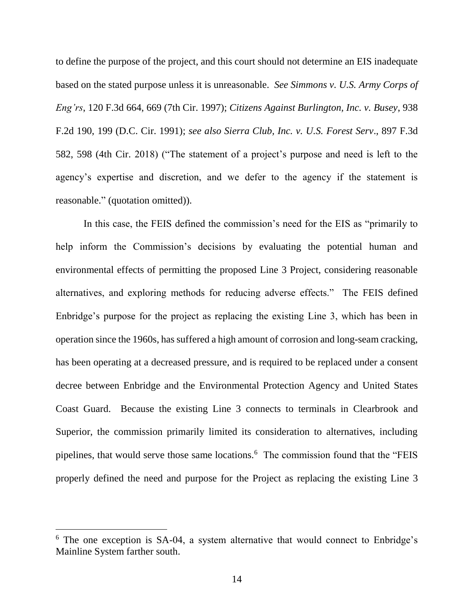to define the purpose of the project, and this court should not determine an EIS inadequate based on the stated purpose unless it is unreasonable. *See Simmons v. U.S. Army Corps of Eng'rs*, 120 F.3d 664, 669 (7th Cir. 1997); *Citizens Against Burlington, Inc. v. Busey*, 938 F.2d 190, 199 (D.C. Cir. 1991); *see also Sierra Club, Inc. v. U.S. Forest Serv*., 897 F.3d 582, 598 (4th Cir. 2018) ("The statement of a project's purpose and need is left to the agency's expertise and discretion, and we defer to the agency if the statement is reasonable." (quotation omitted)).

In this case, the FEIS defined the commission's need for the EIS as "primarily to help inform the Commission's decisions by evaluating the potential human and environmental effects of permitting the proposed Line 3 Project, considering reasonable alternatives, and exploring methods for reducing adverse effects." The FEIS defined Enbridge's purpose for the project as replacing the existing Line 3, which has been in operation since the 1960s, has suffered a high amount of corrosion and long-seam cracking, has been operating at a decreased pressure, and is required to be replaced under a consent decree between Enbridge and the Environmental Protection Agency and United States Coast Guard. Because the existing Line 3 connects to terminals in Clearbrook and Superior, the commission primarily limited its consideration to alternatives, including pipelines, that would serve those same locations.<sup>6</sup> The commission found that the "FEIS" properly defined the need and purpose for the Project as replacing the existing Line 3

 $\overline{a}$ 

<sup>6</sup> The one exception is SA-04, a system alternative that would connect to Enbridge's Mainline System farther south.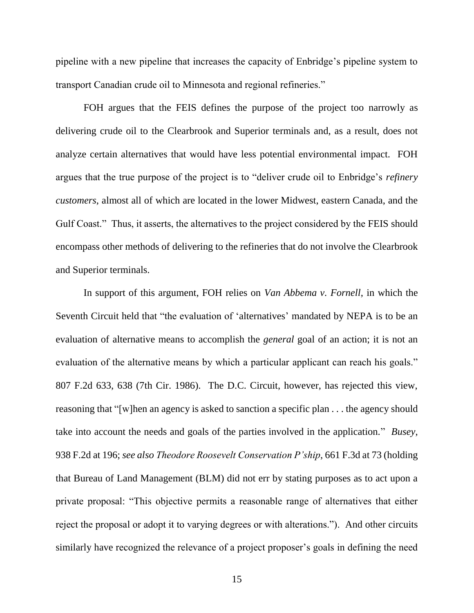pipeline with a new pipeline that increases the capacity of Enbridge's pipeline system to transport Canadian crude oil to Minnesota and regional refineries."

FOH argues that the FEIS defines the purpose of the project too narrowly as delivering crude oil to the Clearbrook and Superior terminals and, as a result, does not analyze certain alternatives that would have less potential environmental impact. FOH argues that the true purpose of the project is to "deliver crude oil to Enbridge's *refinery customers*, almost all of which are located in the lower Midwest, eastern Canada, and the Gulf Coast." Thus, it asserts, the alternatives to the project considered by the FEIS should encompass other methods of delivering to the refineries that do not involve the Clearbrook and Superior terminals.

In support of this argument, FOH relies on *Van Abbema v. Fornell*, in which the Seventh Circuit held that "the evaluation of 'alternatives' mandated by NEPA is to be an evaluation of alternative means to accomplish the *general* goal of an action; it is not an evaluation of the alternative means by which a particular applicant can reach his goals." 807 F.2d 633, 638 (7th Cir. 1986). The D.C. Circuit, however, has rejected this view, reasoning that "[w]hen an agency is asked to sanction a specific plan . . . the agency should take into account the needs and goals of the parties involved in the application." *Busey*, 938 F.2d at 196; *see also Theodore Roosevelt Conservation P'ship*, 661 F.3d at 73 (holding that Bureau of Land Management (BLM) did not err by stating purposes as to act upon a private proposal: "This objective permits a reasonable range of alternatives that either reject the proposal or adopt it to varying degrees or with alterations."). And other circuits similarly have recognized the relevance of a project proposer's goals in defining the need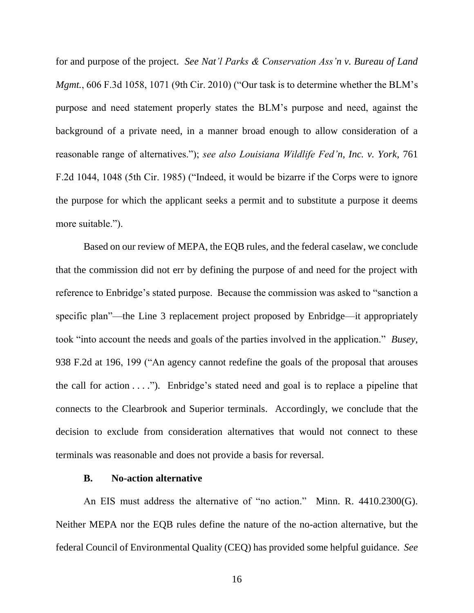for and purpose of the project. *See Nat'l Parks & Conservation Ass'n v. Bureau of Land Mgmt.*, 606 F.3d 1058, 1071 (9th Cir. 2010) ("Our task is to determine whether the BLM's purpose and need statement properly states the BLM's purpose and need, against the background of a private need, in a manner broad enough to allow consideration of a reasonable range of alternatives."); *see also Louisiana Wildlife Fed'n, Inc. v. York*, 761 F.2d 1044, 1048 (5th Cir. 1985) ("Indeed, it would be bizarre if the Corps were to ignore the purpose for which the applicant seeks a permit and to substitute a purpose it deems more suitable.").

Based on our review of MEPA, the EQB rules, and the federal caselaw, we conclude that the commission did not err by defining the purpose of and need for the project with reference to Enbridge's stated purpose. Because the commission was asked to "sanction a specific plan"—the Line 3 replacement project proposed by Enbridge—it appropriately took "into account the needs and goals of the parties involved in the application." *Busey*, 938 F.2d at 196, 199 ("An agency cannot redefine the goals of the proposal that arouses the call for action  $\dots$ "). Enbridge's stated need and goal is to replace a pipeline that connects to the Clearbrook and Superior terminals. Accordingly, we conclude that the decision to exclude from consideration alternatives that would not connect to these terminals was reasonable and does not provide a basis for reversal.

### **B. No-action alternative**

An EIS must address the alternative of "no action." Minn. R. 4410.2300(G). Neither MEPA nor the EQB rules define the nature of the no-action alternative, but the federal Council of Environmental Quality (CEQ) has provided some helpful guidance. *See*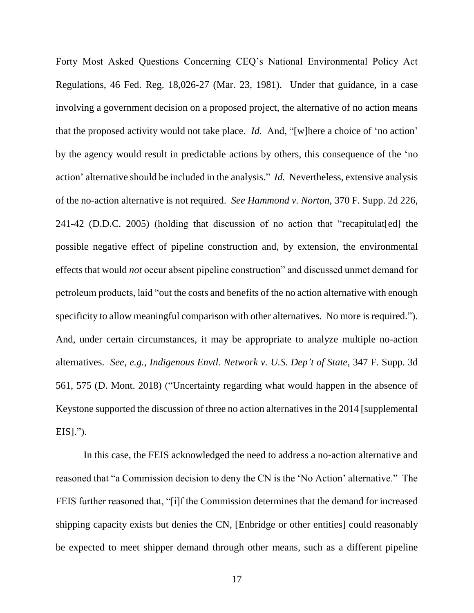Forty Most Asked Questions Concerning CEQ's National Environmental Policy Act Regulations, 46 Fed. Reg. 18,026-27 (Mar. 23, 1981). Under that guidance, in a case involving a government decision on a proposed project, the alternative of no action means that the proposed activity would not take place. *Id.* And, "[w]here a choice of 'no action' by the agency would result in predictable actions by others, this consequence of the 'no action' alternative should be included in the analysis." *Id.* Nevertheless, extensive analysis of the no-action alternative is not required. *See Hammond v. Norton*, 370 F. Supp. 2d 226, 241-42 (D.D.C. 2005) (holding that discussion of no action that "recapitulat[ed] the possible negative effect of pipeline construction and, by extension, the environmental effects that would *not* occur absent pipeline construction" and discussed unmet demand for petroleum products, laid "out the costs and benefits of the no action alternative with enough specificity to allow meaningful comparison with other alternatives. No more is required."). And, under certain circumstances, it may be appropriate to analyze multiple no-action alternatives. *See, e.g.*, *Indigenous Envtl. Network v. U.S. Dep't of State*, 347 F. Supp. 3d 561, 575 (D. Mont. 2018) ("Uncertainty regarding what would happen in the absence of Keystone supported the discussion of three no action alternatives in the 2014 [supplemental  $EIS|.$ ").

In this case, the FEIS acknowledged the need to address a no-action alternative and reasoned that "a Commission decision to deny the CN is the 'No Action' alternative." The FEIS further reasoned that, "[i]f the Commission determines that the demand for increased shipping capacity exists but denies the CN, [Enbridge or other entities] could reasonably be expected to meet shipper demand through other means, such as a different pipeline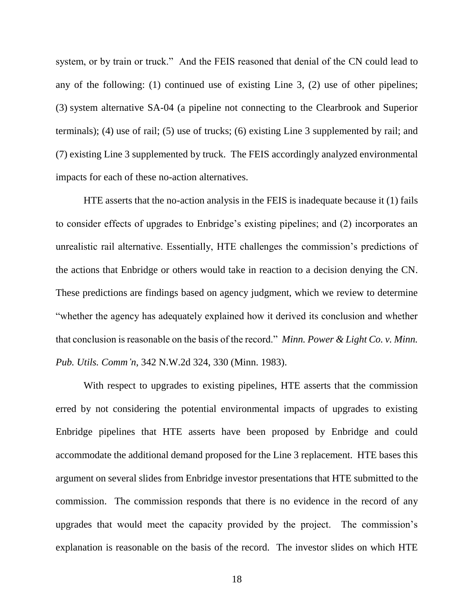system, or by train or truck." And the FEIS reasoned that denial of the CN could lead to any of the following: (1) continued use of existing Line 3, (2) use of other pipelines; (3) system alternative SA-04 (a pipeline not connecting to the Clearbrook and Superior terminals); (4) use of rail; (5) use of trucks; (6) existing Line 3 supplemented by rail; and (7) existing Line 3 supplemented by truck. The FEIS accordingly analyzed environmental impacts for each of these no-action alternatives.

HTE asserts that the no-action analysis in the FEIS is inadequate because it (1) fails to consider effects of upgrades to Enbridge's existing pipelines; and (2) incorporates an unrealistic rail alternative. Essentially, HTE challenges the commission's predictions of the actions that Enbridge or others would take in reaction to a decision denying the CN. These predictions are findings based on agency judgment, which we review to determine "whether the agency has adequately explained how it derived its conclusion and whether that conclusion is reasonable on the basis of the record." *Minn. Power & Light Co. v. Minn. Pub. Utils. Comm'n*, 342 N.W.2d 324, 330 (Minn. 1983).

With respect to upgrades to existing pipelines, HTE asserts that the commission erred by not considering the potential environmental impacts of upgrades to existing Enbridge pipelines that HTE asserts have been proposed by Enbridge and could accommodate the additional demand proposed for the Line 3 replacement. HTE bases this argument on several slides from Enbridge investor presentations that HTE submitted to the commission. The commission responds that there is no evidence in the record of any upgrades that would meet the capacity provided by the project. The commission's explanation is reasonable on the basis of the record. The investor slides on which HTE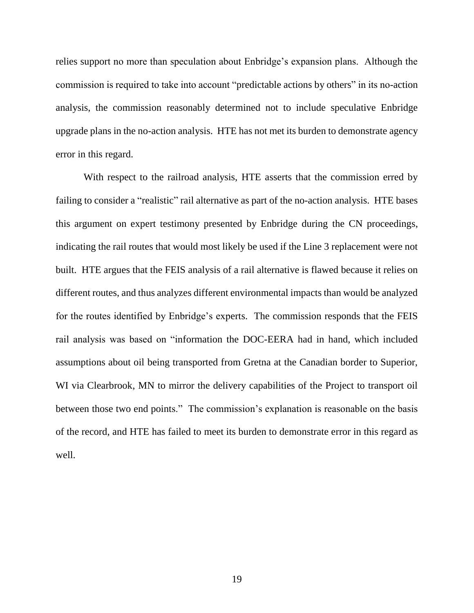relies support no more than speculation about Enbridge's expansion plans. Although the commission is required to take into account "predictable actions by others" in its no-action analysis, the commission reasonably determined not to include speculative Enbridge upgrade plans in the no-action analysis. HTE has not met its burden to demonstrate agency error in this regard.

With respect to the railroad analysis, HTE asserts that the commission erred by failing to consider a "realistic" rail alternative as part of the no-action analysis. HTE bases this argument on expert testimony presented by Enbridge during the CN proceedings, indicating the rail routes that would most likely be used if the Line 3 replacement were not built. HTE argues that the FEIS analysis of a rail alternative is flawed because it relies on different routes, and thus analyzes different environmental impacts than would be analyzed for the routes identified by Enbridge's experts. The commission responds that the FEIS rail analysis was based on "information the DOC-EERA had in hand, which included assumptions about oil being transported from Gretna at the Canadian border to Superior, WI via Clearbrook, MN to mirror the delivery capabilities of the Project to transport oil between those two end points." The commission's explanation is reasonable on the basis of the record, and HTE has failed to meet its burden to demonstrate error in this regard as well.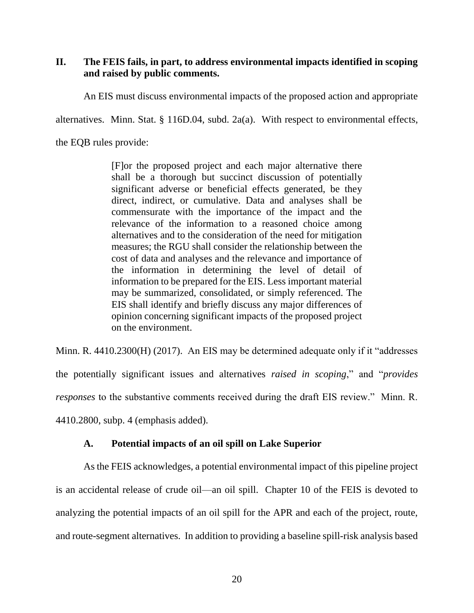# **II. The FEIS fails, in part, to address environmental impacts identified in scoping and raised by public comments.**

An EIS must discuss environmental impacts of the proposed action and appropriate

alternatives. Minn. Stat. § 116D.04, subd. 2a(a). With respect to environmental effects,

the EQB rules provide:

[F]or the proposed project and each major alternative there shall be a thorough but succinct discussion of potentially significant adverse or beneficial effects generated, be they direct, indirect, or cumulative. Data and analyses shall be commensurate with the importance of the impact and the relevance of the information to a reasoned choice among alternatives and to the consideration of the need for mitigation measures; the RGU shall consider the relationship between the cost of data and analyses and the relevance and importance of the information in determining the level of detail of information to be prepared for the EIS. Less important material may be summarized, consolidated, or simply referenced. The EIS shall identify and briefly discuss any major differences of opinion concerning significant impacts of the proposed project on the environment.

Minn. R. 4410.2300(H) (2017). An EIS may be determined adequate only if it "addresses the potentially significant issues and alternatives *raised in scoping*," and "*provides responses* to the substantive comments received during the draft EIS review." Minn. R. 4410.2800, subp. 4 (emphasis added).

# **A. Potential impacts of an oil spill on Lake Superior**

As the FEIS acknowledges, a potential environmental impact of this pipeline project is an accidental release of crude oil—an oil spill. Chapter 10 of the FEIS is devoted to analyzing the potential impacts of an oil spill for the APR and each of the project, route, and route-segment alternatives. In addition to providing a baseline spill-risk analysis based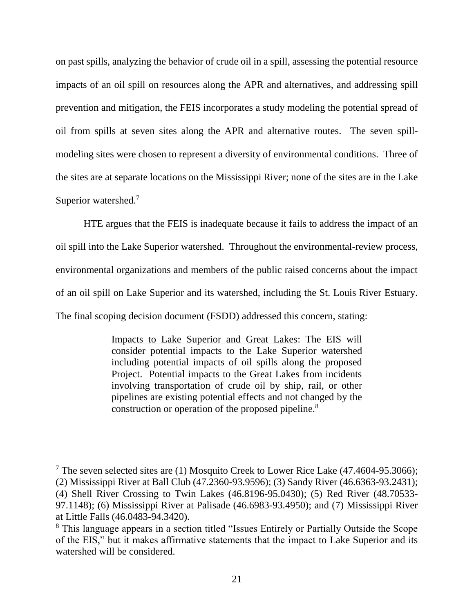on past spills, analyzing the behavior of crude oil in a spill, assessing the potential resource impacts of an oil spill on resources along the APR and alternatives, and addressing spill prevention and mitigation, the FEIS incorporates a study modeling the potential spread of oil from spills at seven sites along the APR and alternative routes. The seven spillmodeling sites were chosen to represent a diversity of environmental conditions. Three of the sites are at separate locations on the Mississippi River; none of the sites are in the Lake Superior watershed.<sup>7</sup>

HTE argues that the FEIS is inadequate because it fails to address the impact of an oil spill into the Lake Superior watershed. Throughout the environmental-review process, environmental organizations and members of the public raised concerns about the impact of an oil spill on Lake Superior and its watershed, including the St. Louis River Estuary. The final scoping decision document (FSDD) addressed this concern, stating:

> Impacts to Lake Superior and Great Lakes: The EIS will consider potential impacts to the Lake Superior watershed including potential impacts of oil spills along the proposed Project. Potential impacts to the Great Lakes from incidents involving transportation of crude oil by ship, rail, or other pipelines are existing potential effects and not changed by the construction or operation of the proposed pipeline.<sup>8</sup>

 $\overline{a}$ 

<sup>&</sup>lt;sup>7</sup> The seven selected sites are (1) Mosquito Creek to Lower Rice Lake (47.4604-95.3066);

<sup>(2)</sup> Mississippi River at Ball Club (47.2360-93.9596); (3) Sandy River (46.6363-93.2431); (4) Shell River Crossing to Twin Lakes (46.8196-95.0430); (5) Red River (48.70533-

<sup>97.1148); (6)</sup> Mississippi River at Palisade (46.6983-93.4950); and (7) Mississippi River at Little Falls (46.0483-94.3420).

<sup>8</sup> This language appears in a section titled "Issues Entirely or Partially Outside the Scope of the EIS," but it makes affirmative statements that the impact to Lake Superior and its watershed will be considered.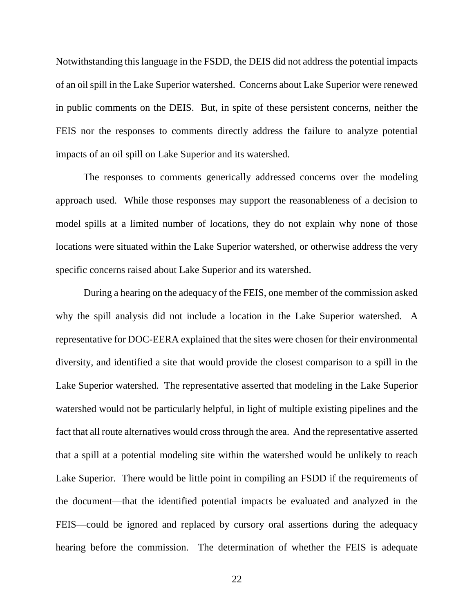Notwithstanding this language in the FSDD, the DEIS did not address the potential impacts of an oil spill in the Lake Superior watershed. Concerns about Lake Superior were renewed in public comments on the DEIS. But, in spite of these persistent concerns, neither the FEIS nor the responses to comments directly address the failure to analyze potential impacts of an oil spill on Lake Superior and its watershed.

The responses to comments generically addressed concerns over the modeling approach used. While those responses may support the reasonableness of a decision to model spills at a limited number of locations, they do not explain why none of those locations were situated within the Lake Superior watershed, or otherwise address the very specific concerns raised about Lake Superior and its watershed.

During a hearing on the adequacy of the FEIS, one member of the commission asked why the spill analysis did not include a location in the Lake Superior watershed. A representative for DOC-EERA explained that the sites were chosen for their environmental diversity, and identified a site that would provide the closest comparison to a spill in the Lake Superior watershed. The representative asserted that modeling in the Lake Superior watershed would not be particularly helpful, in light of multiple existing pipelines and the fact that all route alternatives would cross through the area. And the representative asserted that a spill at a potential modeling site within the watershed would be unlikely to reach Lake Superior. There would be little point in compiling an FSDD if the requirements of the document—that the identified potential impacts be evaluated and analyzed in the FEIS—could be ignored and replaced by cursory oral assertions during the adequacy hearing before the commission. The determination of whether the FEIS is adequate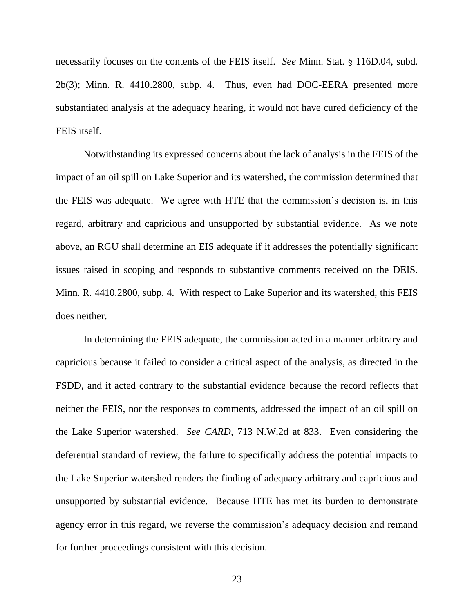necessarily focuses on the contents of the FEIS itself. *See* Minn. Stat. § 116D.04, subd. 2b(3); Minn. R. 4410.2800, subp. 4. Thus, even had DOC-EERA presented more substantiated analysis at the adequacy hearing, it would not have cured deficiency of the FEIS itself.

Notwithstanding its expressed concerns about the lack of analysis in the FEIS of the impact of an oil spill on Lake Superior and its watershed, the commission determined that the FEIS was adequate. We agree with HTE that the commission's decision is, in this regard, arbitrary and capricious and unsupported by substantial evidence. As we note above, an RGU shall determine an EIS adequate if it addresses the potentially significant issues raised in scoping and responds to substantive comments received on the DEIS. Minn. R. 4410.2800, subp. 4. With respect to Lake Superior and its watershed, this FEIS does neither.

In determining the FEIS adequate, the commission acted in a manner arbitrary and capricious because it failed to consider a critical aspect of the analysis, as directed in the FSDD, and it acted contrary to the substantial evidence because the record reflects that neither the FEIS, nor the responses to comments, addressed the impact of an oil spill on the Lake Superior watershed. *See CARD*, 713 N.W.2d at 833. Even considering the deferential standard of review, the failure to specifically address the potential impacts to the Lake Superior watershed renders the finding of adequacy arbitrary and capricious and unsupported by substantial evidence. Because HTE has met its burden to demonstrate agency error in this regard, we reverse the commission's adequacy decision and remand for further proceedings consistent with this decision.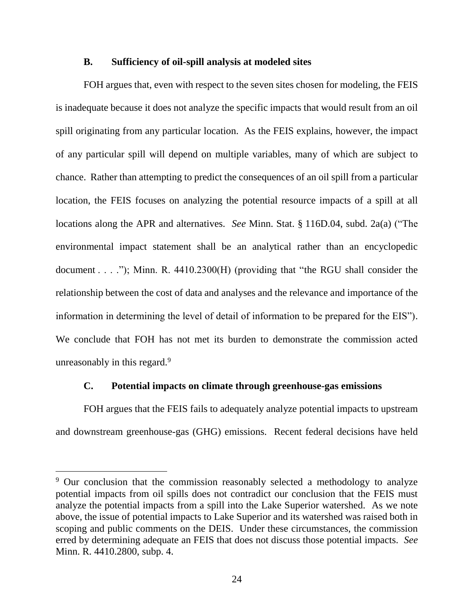#### **B. Sufficiency of oil-spill analysis at modeled sites**

FOH argues that, even with respect to the seven sites chosen for modeling, the FEIS is inadequate because it does not analyze the specific impacts that would result from an oil spill originating from any particular location. As the FEIS explains, however, the impact of any particular spill will depend on multiple variables, many of which are subject to chance. Rather than attempting to predict the consequences of an oil spill from a particular location, the FEIS focuses on analyzing the potential resource impacts of a spill at all locations along the APR and alternatives. *See* Minn. Stat. § 116D.04, subd. 2a(a) ("The environmental impact statement shall be an analytical rather than an encyclopedic document . . . ."); Minn. R. 4410.2300(H) (providing that "the RGU shall consider the relationship between the cost of data and analyses and the relevance and importance of the information in determining the level of detail of information to be prepared for the EIS"). We conclude that FOH has not met its burden to demonstrate the commission acted unreasonably in this regard.<sup>9</sup>

#### **C. Potential impacts on climate through greenhouse-gas emissions**

FOH argues that the FEIS fails to adequately analyze potential impacts to upstream and downstream greenhouse-gas (GHG) emissions. Recent federal decisions have held

 $9$  Our conclusion that the commission reasonably selected a methodology to analyze potential impacts from oil spills does not contradict our conclusion that the FEIS must analyze the potential impacts from a spill into the Lake Superior watershed. As we note above, the issue of potential impacts to Lake Superior and its watershed was raised both in scoping and public comments on the DEIS. Under these circumstances, the commission erred by determining adequate an FEIS that does not discuss those potential impacts. *See*  Minn. R. 4410.2800, subp. 4.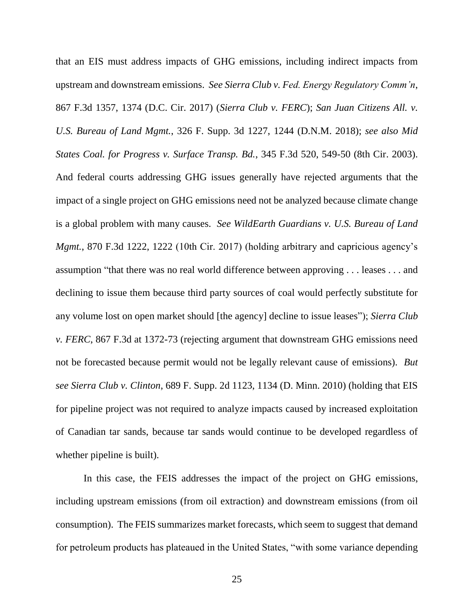that an EIS must address impacts of GHG emissions, including indirect impacts from upstream and downstream emissions. *See Sierra Club v. Fed. Energy Regulatory Comm'n*, 867 F.3d 1357, 1374 (D.C. Cir. 2017) (*Sierra Club v. FERC*); *San Juan Citizens All. v. U.S. Bureau of Land Mgmt.*, 326 F. Supp. 3d 1227, 1244 (D.N.M. 2018); *see also Mid States Coal. for Progress v. Surface Transp. Bd.*, 345 F.3d 520, 549-50 (8th Cir. 2003). And federal courts addressing GHG issues generally have rejected arguments that the impact of a single project on GHG emissions need not be analyzed because climate change is a global problem with many causes. *See WildEarth Guardians v. U.S. Bureau of Land Mgmt.*, 870 F.3d 1222, 1222 (10th Cir. 2017) (holding arbitrary and capricious agency's assumption "that there was no real world difference between approving . . . leases . . . and declining to issue them because third party sources of coal would perfectly substitute for any volume lost on open market should [the agency] decline to issue leases"); *Sierra Club v. FERC*, 867 F.3d at 1372-73 (rejecting argument that downstream GHG emissions need not be forecasted because permit would not be legally relevant cause of emissions). *But see Sierra Club v. Clinton*, 689 F. Supp. 2d 1123, 1134 (D. Minn. 2010) (holding that EIS for pipeline project was not required to analyze impacts caused by increased exploitation of Canadian tar sands, because tar sands would continue to be developed regardless of whether pipeline is built).

In this case, the FEIS addresses the impact of the project on GHG emissions, including upstream emissions (from oil extraction) and downstream emissions (from oil consumption). The FEIS summarizes market forecasts, which seem to suggest that demand for petroleum products has plateaued in the United States, "with some variance depending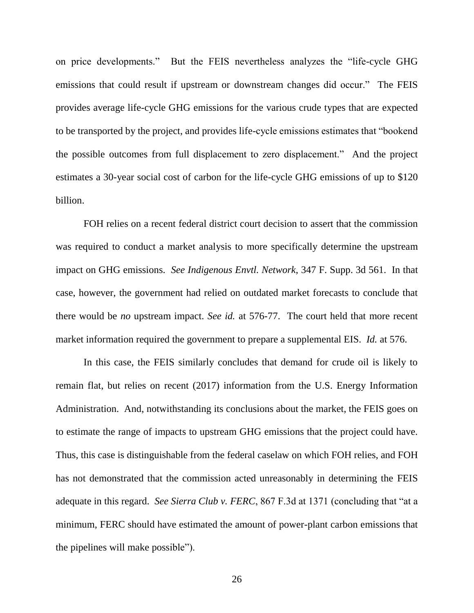on price developments." But the FEIS nevertheless analyzes the "life-cycle GHG emissions that could result if upstream or downstream changes did occur." The FEIS provides average life-cycle GHG emissions for the various crude types that are expected to be transported by the project, and provides life-cycle emissions estimates that "bookend the possible outcomes from full displacement to zero displacement." And the project estimates a 30-year social cost of carbon for the life-cycle GHG emissions of up to \$120 billion.

FOH relies on a recent federal district court decision to assert that the commission was required to conduct a market analysis to more specifically determine the upstream impact on GHG emissions. *See Indigenous Envtl. Network*, 347 F. Supp. 3d 561. In that case, however, the government had relied on outdated market forecasts to conclude that there would be *no* upstream impact. *See id.* at 576-77. The court held that more recent market information required the government to prepare a supplemental EIS. *Id.* at 576.

In this case, the FEIS similarly concludes that demand for crude oil is likely to remain flat, but relies on recent (2017) information from the U.S. Energy Information Administration. And, notwithstanding its conclusions about the market, the FEIS goes on to estimate the range of impacts to upstream GHG emissions that the project could have. Thus, this case is distinguishable from the federal caselaw on which FOH relies, and FOH has not demonstrated that the commission acted unreasonably in determining the FEIS adequate in this regard. *See Sierra Club v. FERC*, 867 F.3d at 1371 (concluding that "at a minimum, FERC should have estimated the amount of power-plant carbon emissions that the pipelines will make possible").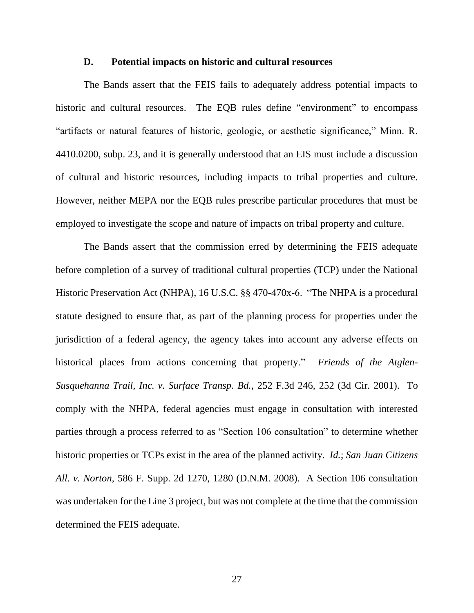#### **D. Potential impacts on historic and cultural resources**

The Bands assert that the FEIS fails to adequately address potential impacts to historic and cultural resources. The EQB rules define "environment" to encompass "artifacts or natural features of historic, geologic, or aesthetic significance," Minn. R. 4410.0200, subp. 23, and it is generally understood that an EIS must include a discussion of cultural and historic resources, including impacts to tribal properties and culture. However, neither MEPA nor the EQB rules prescribe particular procedures that must be employed to investigate the scope and nature of impacts on tribal property and culture.

The Bands assert that the commission erred by determining the FEIS adequate before completion of a survey of traditional cultural properties (TCP) under the National Historic Preservation Act (NHPA), 16 U.S.C. §§ 470-470x-6. "The NHPA is a procedural statute designed to ensure that, as part of the planning process for properties under the jurisdiction of a federal agency, the agency takes into account any adverse effects on historical places from actions concerning that property." *Friends of the Atglen-Susquehanna Trail, Inc. v. Surface Transp. Bd.*, 252 F.3d 246, 252 (3d Cir. 2001). To comply with the NHPA, federal agencies must engage in consultation with interested parties through a process referred to as "Section 106 consultation" to determine whether historic properties or TCPs exist in the area of the planned activity. *Id.*; *San Juan Citizens All. v. Norton*, 586 F. Supp. 2d 1270, 1280 (D.N.M. 2008). A Section 106 consultation was undertaken for the Line 3 project, but was not complete at the time that the commission determined the FEIS adequate.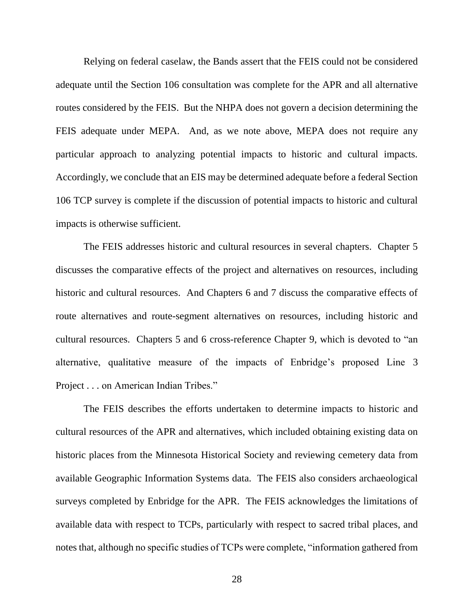Relying on federal caselaw, the Bands assert that the FEIS could not be considered adequate until the Section 106 consultation was complete for the APR and all alternative routes considered by the FEIS. But the NHPA does not govern a decision determining the FEIS adequate under MEPA. And, as we note above, MEPA does not require any particular approach to analyzing potential impacts to historic and cultural impacts. Accordingly, we conclude that an EIS may be determined adequate before a federal Section 106 TCP survey is complete if the discussion of potential impacts to historic and cultural impacts is otherwise sufficient.

The FEIS addresses historic and cultural resources in several chapters. Chapter 5 discusses the comparative effects of the project and alternatives on resources, including historic and cultural resources. And Chapters 6 and 7 discuss the comparative effects of route alternatives and route-segment alternatives on resources, including historic and cultural resources. Chapters 5 and 6 cross-reference Chapter 9, which is devoted to "an alternative, qualitative measure of the impacts of Enbridge's proposed Line 3 Project . . . on American Indian Tribes."

The FEIS describes the efforts undertaken to determine impacts to historic and cultural resources of the APR and alternatives, which included obtaining existing data on historic places from the Minnesota Historical Society and reviewing cemetery data from available Geographic Information Systems data. The FEIS also considers archaeological surveys completed by Enbridge for the APR. The FEIS acknowledges the limitations of available data with respect to TCPs, particularly with respect to sacred tribal places, and notes that, although no specific studies of TCPs were complete, "information gathered from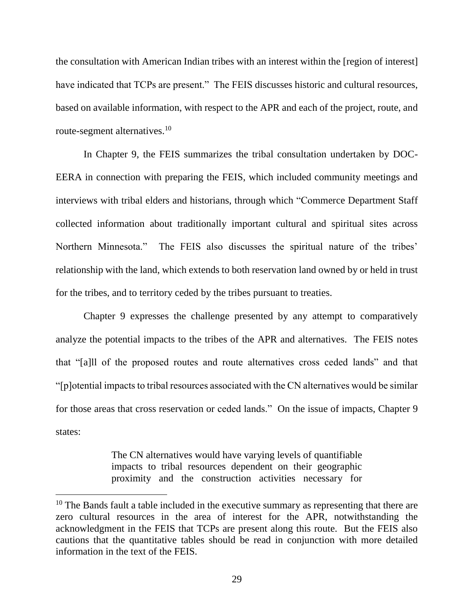the consultation with American Indian tribes with an interest within the [region of interest] have indicated that TCPs are present." The FEIS discusses historic and cultural resources, based on available information, with respect to the APR and each of the project, route, and route-segment alternatives.<sup>10</sup>

In Chapter 9, the FEIS summarizes the tribal consultation undertaken by DOC-EERA in connection with preparing the FEIS, which included community meetings and interviews with tribal elders and historians, through which "Commerce Department Staff collected information about traditionally important cultural and spiritual sites across Northern Minnesota." The FEIS also discusses the spiritual nature of the tribes' relationship with the land, which extends to both reservation land owned by or held in trust for the tribes, and to territory ceded by the tribes pursuant to treaties.

Chapter 9 expresses the challenge presented by any attempt to comparatively analyze the potential impacts to the tribes of the APR and alternatives. The FEIS notes that "[a]ll of the proposed routes and route alternatives cross ceded lands" and that "[p]otential impacts to tribal resources associated with the CN alternatives would be similar for those areas that cross reservation or ceded lands." On the issue of impacts, Chapter 9 states:

> The CN alternatives would have varying levels of quantifiable impacts to tribal resources dependent on their geographic proximity and the construction activities necessary for

<sup>&</sup>lt;sup>10</sup> The Bands fault a table included in the executive summary as representing that there are zero cultural resources in the area of interest for the APR, notwithstanding the acknowledgment in the FEIS that TCPs are present along this route. But the FEIS also cautions that the quantitative tables should be read in conjunction with more detailed information in the text of the FEIS.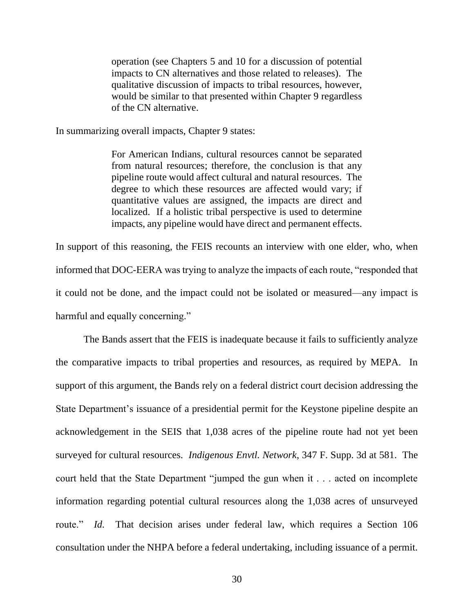operation (see Chapters 5 and 10 for a discussion of potential impacts to CN alternatives and those related to releases). The qualitative discussion of impacts to tribal resources, however, would be similar to that presented within Chapter 9 regardless of the CN alternative.

In summarizing overall impacts, Chapter 9 states:

For American Indians, cultural resources cannot be separated from natural resources; therefore, the conclusion is that any pipeline route would affect cultural and natural resources. The degree to which these resources are affected would vary; if quantitative values are assigned, the impacts are direct and localized. If a holistic tribal perspective is used to determine impacts, any pipeline would have direct and permanent effects.

In support of this reasoning, the FEIS recounts an interview with one elder, who, when informed that DOC-EERA was trying to analyze the impacts of each route, "responded that it could not be done, and the impact could not be isolated or measured—any impact is harmful and equally concerning."

The Bands assert that the FEIS is inadequate because it fails to sufficiently analyze the comparative impacts to tribal properties and resources, as required by MEPA. In support of this argument, the Bands rely on a federal district court decision addressing the State Department's issuance of a presidential permit for the Keystone pipeline despite an acknowledgement in the SEIS that 1,038 acres of the pipeline route had not yet been surveyed for cultural resources. *Indigenous Envtl. Network*, 347 F. Supp. 3d at 581. The court held that the State Department "jumped the gun when it . . . acted on incomplete information regarding potential cultural resources along the 1,038 acres of unsurveyed route." *Id.* That decision arises under federal law, which requires a Section 106 consultation under the NHPA before a federal undertaking, including issuance of a permit.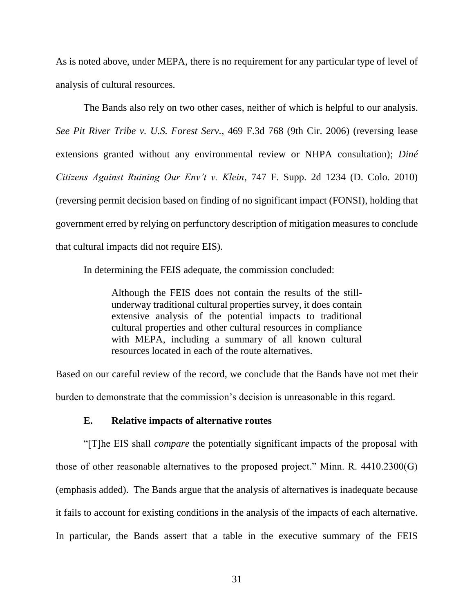As is noted above, under MEPA, there is no requirement for any particular type of level of analysis of cultural resources.

The Bands also rely on two other cases, neither of which is helpful to our analysis. *See Pit River Tribe v. U.S. Forest Serv.*, 469 F.3d 768 (9th Cir. 2006) (reversing lease extensions granted without any environmental review or NHPA consultation); *Diné Citizens Against Ruining Our Env't v. Klein*, 747 F. Supp. 2d 1234 (D. Colo. 2010) (reversing permit decision based on finding of no significant impact (FONSI), holding that government erred by relying on perfunctory description of mitigation measures to conclude that cultural impacts did not require EIS).

In determining the FEIS adequate, the commission concluded:

Although the FEIS does not contain the results of the stillunderway traditional cultural properties survey, it does contain extensive analysis of the potential impacts to traditional cultural properties and other cultural resources in compliance with MEPA, including a summary of all known cultural resources located in each of the route alternatives.

Based on our careful review of the record, we conclude that the Bands have not met their burden to demonstrate that the commission's decision is unreasonable in this regard.

## **E. Relative impacts of alternative routes**

"[T]he EIS shall *compare* the potentially significant impacts of the proposal with those of other reasonable alternatives to the proposed project." Minn. R. 4410.2300(G) (emphasis added). The Bands argue that the analysis of alternatives is inadequate because it fails to account for existing conditions in the analysis of the impacts of each alternative. In particular, the Bands assert that a table in the executive summary of the FEIS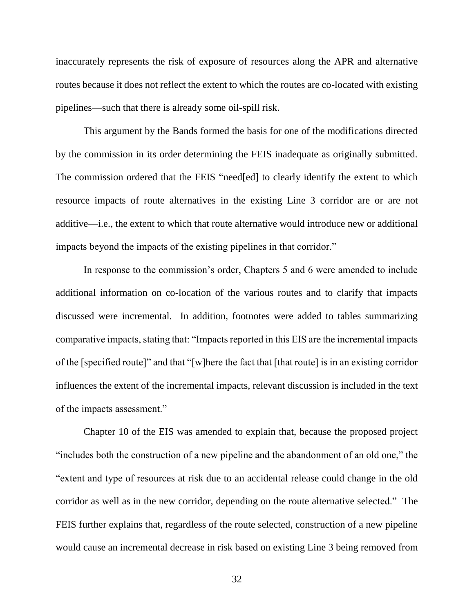inaccurately represents the risk of exposure of resources along the APR and alternative routes because it does not reflect the extent to which the routes are co-located with existing pipelines—such that there is already some oil-spill risk.

This argument by the Bands formed the basis for one of the modifications directed by the commission in its order determining the FEIS inadequate as originally submitted. The commission ordered that the FEIS "need[ed] to clearly identify the extent to which resource impacts of route alternatives in the existing Line 3 corridor are or are not additive—i.e., the extent to which that route alternative would introduce new or additional impacts beyond the impacts of the existing pipelines in that corridor."

In response to the commission's order, Chapters 5 and 6 were amended to include additional information on co-location of the various routes and to clarify that impacts discussed were incremental. In addition, footnotes were added to tables summarizing comparative impacts, stating that: "Impacts reported in this EIS are the incremental impacts of the [specified route]" and that "[w]here the fact that [that route] is in an existing corridor influences the extent of the incremental impacts, relevant discussion is included in the text of the impacts assessment."

Chapter 10 of the EIS was amended to explain that, because the proposed project "includes both the construction of a new pipeline and the abandonment of an old one," the "extent and type of resources at risk due to an accidental release could change in the old corridor as well as in the new corridor, depending on the route alternative selected." The FEIS further explains that, regardless of the route selected, construction of a new pipeline would cause an incremental decrease in risk based on existing Line 3 being removed from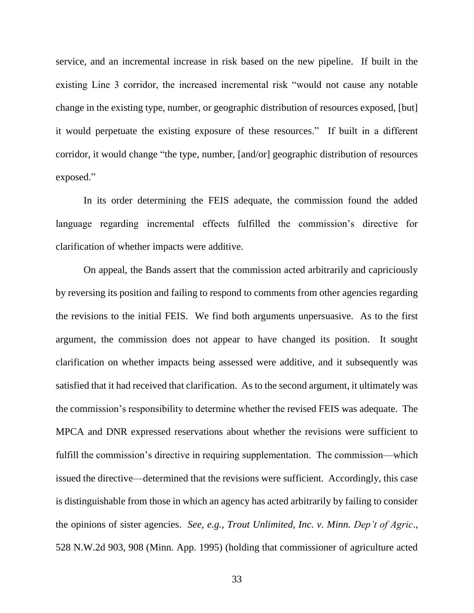service, and an incremental increase in risk based on the new pipeline. If built in the existing Line 3 corridor, the increased incremental risk "would not cause any notable change in the existing type, number, or geographic distribution of resources exposed, [but] it would perpetuate the existing exposure of these resources." If built in a different corridor, it would change "the type, number, [and/or] geographic distribution of resources exposed."

In its order determining the FEIS adequate, the commission found the added language regarding incremental effects fulfilled the commission's directive for clarification of whether impacts were additive.

On appeal, the Bands assert that the commission acted arbitrarily and capriciously by reversing its position and failing to respond to comments from other agencies regarding the revisions to the initial FEIS. We find both arguments unpersuasive. As to the first argument, the commission does not appear to have changed its position. It sought clarification on whether impacts being assessed were additive, and it subsequently was satisfied that it had received that clarification. As to the second argument, it ultimately was the commission's responsibility to determine whether the revised FEIS was adequate. The MPCA and DNR expressed reservations about whether the revisions were sufficient to fulfill the commission's directive in requiring supplementation. The commission—which issued the directive—determined that the revisions were sufficient. Accordingly, this case is distinguishable from those in which an agency has acted arbitrarily by failing to consider the opinions of sister agencies. *See, e.g.*, *Trout Unlimited, Inc. v. Minn. Dep't of Agric*., 528 N.W.2d 903, 908 (Minn. App. 1995) (holding that commissioner of agriculture acted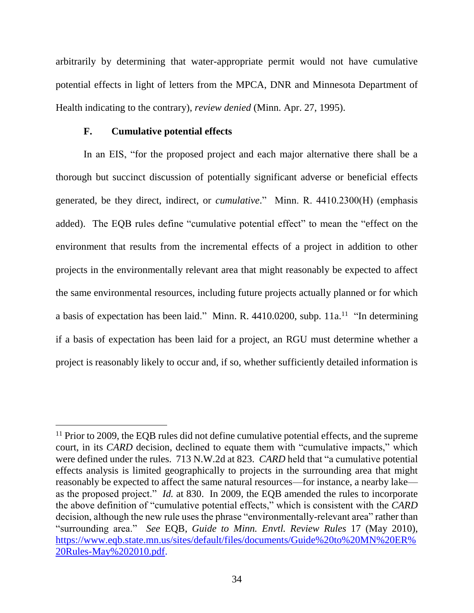arbitrarily by determining that water-appropriate permit would not have cumulative potential effects in light of letters from the MPCA, DNR and Minnesota Department of Health indicating to the contrary), *review denied* (Minn. Apr. 27, 1995).

#### **F. Cumulative potential effects**

 $\overline{a}$ 

In an EIS, "for the proposed project and each major alternative there shall be a thorough but succinct discussion of potentially significant adverse or beneficial effects generated, be they direct, indirect, or *cumulative*." Minn. R. 4410.2300(H) (emphasis added). The EQB rules define "cumulative potential effect" to mean the "effect on the environment that results from the incremental effects of a project in addition to other projects in the environmentally relevant area that might reasonably be expected to affect the same environmental resources, including future projects actually planned or for which a basis of expectation has been laid." Minn. R.  $4410.0200$ , subp.  $11a$ .<sup>11</sup> "In determining if a basis of expectation has been laid for a project, an RGU must determine whether a project is reasonably likely to occur and, if so, whether sufficiently detailed information is

<sup>&</sup>lt;sup>11</sup> Prior to 2009, the EQB rules did not define cumulative potential effects, and the supreme court, in its *CARD* decision, declined to equate them with "cumulative impacts," which were defined under the rules. 713 N.W.2d at 823. *CARD* held that "a cumulative potential effects analysis is limited geographically to projects in the surrounding area that might reasonably be expected to affect the same natural resources—for instance, a nearby lake as the proposed project." *Id.* at 830. In 2009, the EQB amended the rules to incorporate the above definition of "cumulative potential effects," which is consistent with the *CARD*  decision, although the new rule uses the phrase "environmentally-relevant area" rather than "surrounding area." *See* EQB, *Guide to Minn. Envtl. Review Rules* 17 (May 2010), [https://www.eqb.state.mn.us/sites/default/files/documents/Guide%20to%20MN%20ER%](https://www.eqb.state.mn.us/sites/default/files/documents/Guide%20to%20MN%20ER%20Rules-May%202010.pdf) [20Rules-May%202010.pdf.](https://www.eqb.state.mn.us/sites/default/files/documents/Guide%20to%20MN%20ER%20Rules-May%202010.pdf)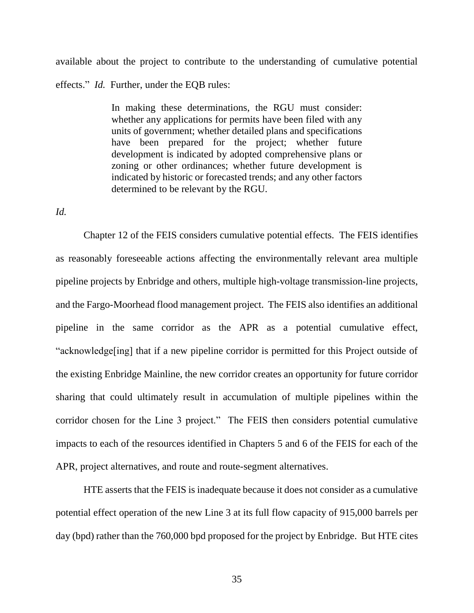available about the project to contribute to the understanding of cumulative potential effects." *Id.* Further, under the EQB rules:

> In making these determinations, the RGU must consider: whether any applications for permits have been filed with any units of government; whether detailed plans and specifications have been prepared for the project; whether future development is indicated by adopted comprehensive plans or zoning or other ordinances; whether future development is indicated by historic or forecasted trends; and any other factors determined to be relevant by the RGU.

*Id.* 

Chapter 12 of the FEIS considers cumulative potential effects. The FEIS identifies as reasonably foreseeable actions affecting the environmentally relevant area multiple pipeline projects by Enbridge and others, multiple high-voltage transmission-line projects, and the Fargo-Moorhead flood management project. The FEIS also identifies an additional pipeline in the same corridor as the APR as a potential cumulative effect, "acknowledge[ing] that if a new pipeline corridor is permitted for this Project outside of the existing Enbridge Mainline, the new corridor creates an opportunity for future corridor sharing that could ultimately result in accumulation of multiple pipelines within the corridor chosen for the Line 3 project." The FEIS then considers potential cumulative impacts to each of the resources identified in Chapters 5 and 6 of the FEIS for each of the APR, project alternatives, and route and route-segment alternatives.

HTE asserts that the FEIS is inadequate because it does not consider as a cumulative potential effect operation of the new Line 3 at its full flow capacity of 915,000 barrels per day (bpd) rather than the 760,000 bpd proposed for the project by Enbridge. But HTE cites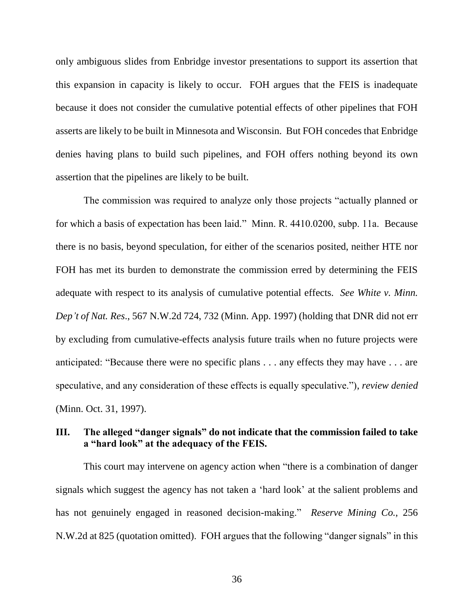only ambiguous slides from Enbridge investor presentations to support its assertion that this expansion in capacity is likely to occur. FOH argues that the FEIS is inadequate because it does not consider the cumulative potential effects of other pipelines that FOH asserts are likely to be built in Minnesota and Wisconsin. But FOH concedes that Enbridge denies having plans to build such pipelines, and FOH offers nothing beyond its own assertion that the pipelines are likely to be built.

The commission was required to analyze only those projects "actually planned or for which a basis of expectation has been laid." Minn. R. 4410.0200, subp. 11a. Because there is no basis, beyond speculation, for either of the scenarios posited, neither HTE nor FOH has met its burden to demonstrate the commission erred by determining the FEIS adequate with respect to its analysis of cumulative potential effects. *See White v. Minn. Dep't of Nat. Res*., 567 N.W.2d 724, 732 (Minn. App. 1997) (holding that DNR did not err by excluding from cumulative-effects analysis future trails when no future projects were anticipated: "Because there were no specific plans . . . any effects they may have . . . are speculative, and any consideration of these effects is equally speculative."), *review denied*  (Minn. Oct. 31, 1997).

# **III. The alleged "danger signals" do not indicate that the commission failed to take a "hard look" at the adequacy of the FEIS.**

This court may intervene on agency action when "there is a combination of danger signals which suggest the agency has not taken a 'hard look' at the salient problems and has not genuinely engaged in reasoned decision-making." *Reserve Mining Co.*, 256 N.W.2d at 825 (quotation omitted). FOH argues that the following "danger signals" in this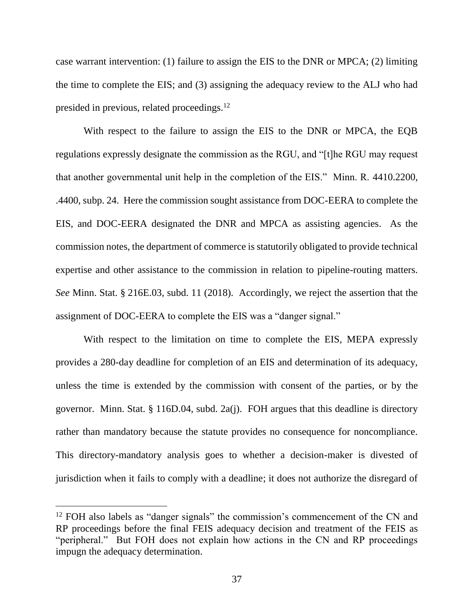case warrant intervention: (1) failure to assign the EIS to the DNR or MPCA; (2) limiting the time to complete the EIS; and (3) assigning the adequacy review to the ALJ who had presided in previous, related proceedings.<sup>12</sup>

With respect to the failure to assign the EIS to the DNR or MPCA, the EQB regulations expressly designate the commission as the RGU, and "[t]he RGU may request that another governmental unit help in the completion of the EIS." Minn. R. 4410.2200, .4400, subp. 24. Here the commission sought assistance from DOC-EERA to complete the EIS, and DOC-EERA designated the DNR and MPCA as assisting agencies. As the commission notes, the department of commerce is statutorily obligated to provide technical expertise and other assistance to the commission in relation to pipeline-routing matters. *See* Minn. Stat. § 216E.03, subd. 11 (2018). Accordingly, we reject the assertion that the assignment of DOC-EERA to complete the EIS was a "danger signal."

With respect to the limitation on time to complete the EIS, MEPA expressly provides a 280-day deadline for completion of an EIS and determination of its adequacy, unless the time is extended by the commission with consent of the parties, or by the governor. Minn. Stat. § 116D.04, subd. 2a(j). FOH argues that this deadline is directory rather than mandatory because the statute provides no consequence for noncompliance. This directory-mandatory analysis goes to whether a decision-maker is divested of jurisdiction when it fails to comply with a deadline; it does not authorize the disregard of

<sup>&</sup>lt;sup>12</sup> FOH also labels as "danger signals" the commission's commencement of the CN and RP proceedings before the final FEIS adequacy decision and treatment of the FEIS as "peripheral." But FOH does not explain how actions in the CN and RP proceedings impugn the adequacy determination.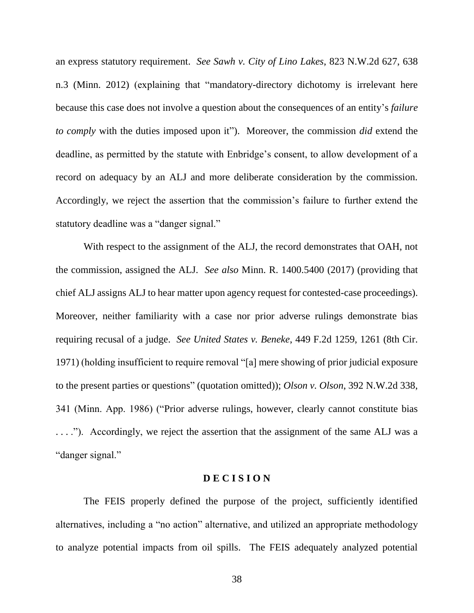an express statutory requirement. *See Sawh v. City of Lino Lakes*, 823 N.W.2d 627, 638 n.3 (Minn. 2012) (explaining that "mandatory-directory dichotomy is irrelevant here because this case does not involve a question about the consequences of an entity's *failure to comply* with the duties imposed upon it"). Moreover, the commission *did* extend the deadline, as permitted by the statute with Enbridge's consent, to allow development of a record on adequacy by an ALJ and more deliberate consideration by the commission. Accordingly, we reject the assertion that the commission's failure to further extend the statutory deadline was a "danger signal."

With respect to the assignment of the ALJ, the record demonstrates that OAH, not the commission, assigned the ALJ. *See also* Minn. R. 1400.5400 (2017) (providing that chief ALJ assigns ALJ to hear matter upon agency request for contested-case proceedings). Moreover, neither familiarity with a case nor prior adverse rulings demonstrate bias requiring recusal of a judge. *See United States v. Beneke*, 449 F.2d 1259, 1261 (8th Cir. 1971) (holding insufficient to require removal "[a] mere showing of prior judicial exposure to the present parties or questions" (quotation omitted)); *Olson v. Olson*, 392 N.W.2d 338, 341 (Minn. App. 1986) ("Prior adverse rulings, however, clearly cannot constitute bias . . . ."). Accordingly, we reject the assertion that the assignment of the same ALJ was a "danger signal."

### **D E C I S I O N**

The FEIS properly defined the purpose of the project, sufficiently identified alternatives, including a "no action" alternative, and utilized an appropriate methodology to analyze potential impacts from oil spills. The FEIS adequately analyzed potential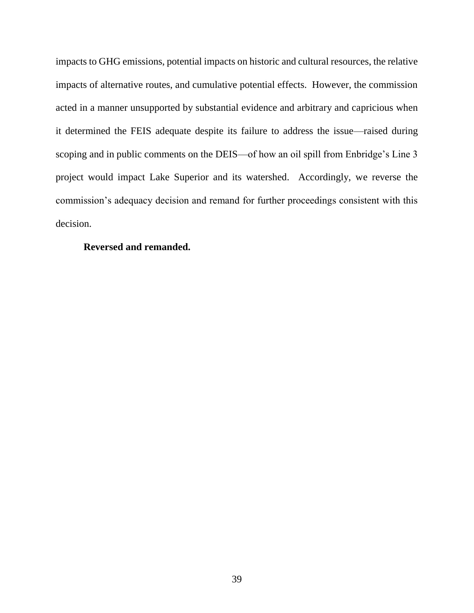impacts to GHG emissions, potential impacts on historic and cultural resources, the relative impacts of alternative routes, and cumulative potential effects. However, the commission acted in a manner unsupported by substantial evidence and arbitrary and capricious when it determined the FEIS adequate despite its failure to address the issue—raised during scoping and in public comments on the DEIS—of how an oil spill from Enbridge's Line 3 project would impact Lake Superior and its watershed. Accordingly, we reverse the commission's adequacy decision and remand for further proceedings consistent with this decision.

### **Reversed and remanded.**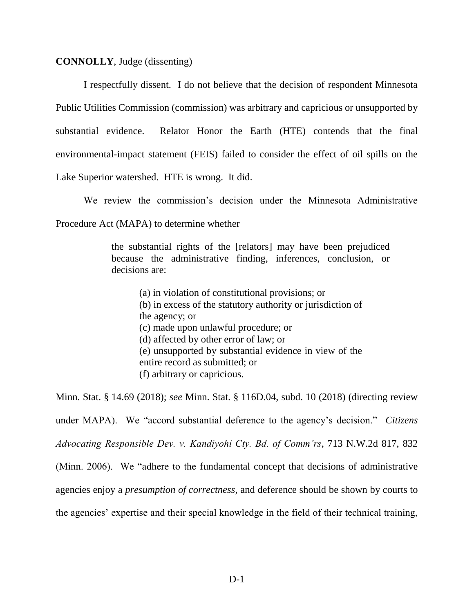#### **CONNOLLY**, Judge (dissenting)

I respectfully dissent. I do not believe that the decision of respondent Minnesota Public Utilities Commission (commission) was arbitrary and capricious or unsupported by substantial evidence. Relator Honor the Earth (HTE) contends that the final environmental-impact statement (FEIS) failed to consider the effect of oil spills on the Lake Superior watershed. HTE is wrong. It did.

We review the commission's decision under the Minnesota Administrative

Procedure Act (MAPA) to determine whether

the substantial rights of the [relators] may have been prejudiced because the administrative finding, inferences, conclusion, or decisions are:

(a) in violation of constitutional provisions; or (b) in excess of the statutory authority or jurisdiction of the agency; or (c) made upon unlawful procedure; or (d) affected by other error of law; or (e) unsupported by substantial evidence in view of the entire record as submitted; or (f) arbitrary or capricious.

Minn. Stat. § 14.69 (2018); *see* Minn. Stat. § 116D.04, subd. 10 (2018) (directing review under MAPA). We "accord substantial deference to the agency's decision." *Citizens Advocating Responsible Dev. v. Kandiyohi Cty. Bd. of Comm'rs*, 713 N.W.2d 817, 832 (Minn. 2006). We "adhere to the fundamental concept that decisions of administrative agencies enjoy a *presumption of correctness*, and deference should be shown by courts to the agencies' expertise and their special knowledge in the field of their technical training,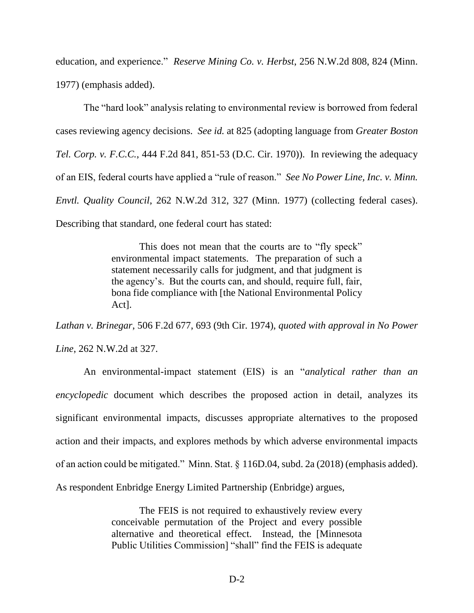education, and experience." *Reserve Mining Co. v. Herbst*, 256 N.W.2d 808, 824 (Minn. 1977) (emphasis added).

The "hard look" analysis relating to environmental review is borrowed from federal cases reviewing agency decisions. *See id.* at 825 (adopting language from *Greater Boston Tel. Corp. v. F.C.C.*, 444 F.2d 841, 851-53 (D.C. Cir. 1970)). In reviewing the adequacy of an EIS, federal courts have applied a "rule of reason." *See No Power Line, Inc. v. Minn. Envtl. Quality Council*, 262 N.W.2d 312, 327 (Minn. 1977) (collecting federal cases). Describing that standard, one federal court has stated:

> This does not mean that the courts are to "fly speck" environmental impact statements. The preparation of such a statement necessarily calls for judgment, and that judgment is the agency's. But the courts can, and should, require full, fair, bona fide compliance with [the National Environmental Policy Act].

*Lathan v. Brinegar*, 506 F.2d 677, 693 (9th Cir. 1974), *quoted with approval in No Power Line*, 262 N.W.2d at 327.

An environmental-impact statement (EIS) is an "*analytical rather than an encyclopedic* document which describes the proposed action in detail, analyzes its significant environmental impacts, discusses appropriate alternatives to the proposed action and their impacts, and explores methods by which adverse environmental impacts of an action could be mitigated." Minn. Stat. § 116D.04, subd. 2a (2018) (emphasis added). As respondent Enbridge Energy Limited Partnership (Enbridge) argues,

> The FEIS is not required to exhaustively review every conceivable permutation of the Project and every possible alternative and theoretical effect. Instead, the [Minnesota Public Utilities Commission] "shall" find the FEIS is adequate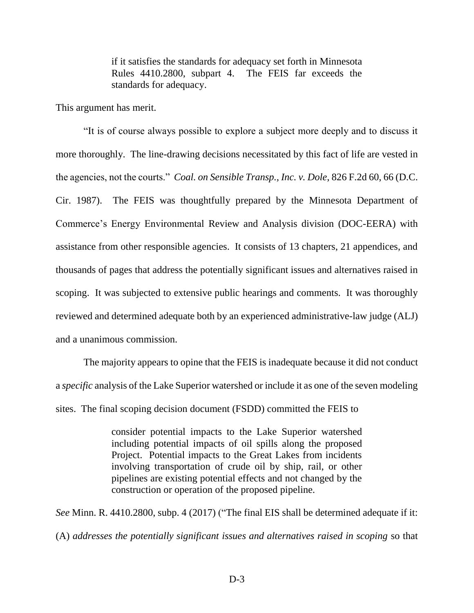if it satisfies the standards for adequacy set forth in Minnesota Rules 4410.2800, subpart 4. The FEIS far exceeds the standards for adequacy.

This argument has merit.

"It is of course always possible to explore a subject more deeply and to discuss it more thoroughly. The line-drawing decisions necessitated by this fact of life are vested in the agencies, not the courts." *Coal. on Sensible Transp., Inc. v. Dole*, 826 F.2d 60, 66 (D.C. Cir. 1987). The FEIS was thoughtfully prepared by the Minnesota Department of Commerce's Energy Environmental Review and Analysis division (DOC-EERA) with assistance from other responsible agencies. It consists of 13 chapters, 21 appendices, and thousands of pages that address the potentially significant issues and alternatives raised in scoping. It was subjected to extensive public hearings and comments. It was thoroughly reviewed and determined adequate both by an experienced administrative-law judge (ALJ) and a unanimous commission.

The majority appears to opine that the FEIS is inadequate because it did not conduct a *specific* analysis of the Lake Superior watershed or include it as one of the seven modeling sites. The final scoping decision document (FSDD) committed the FEIS to

> consider potential impacts to the Lake Superior watershed including potential impacts of oil spills along the proposed Project. Potential impacts to the Great Lakes from incidents involving transportation of crude oil by ship, rail, or other pipelines are existing potential effects and not changed by the construction or operation of the proposed pipeline.

*See* Minn. R. 4410.2800, subp. 4 (2017) ("The final EIS shall be determined adequate if it: (A) *addresses the potentially significant issues and alternatives raised in scoping* so that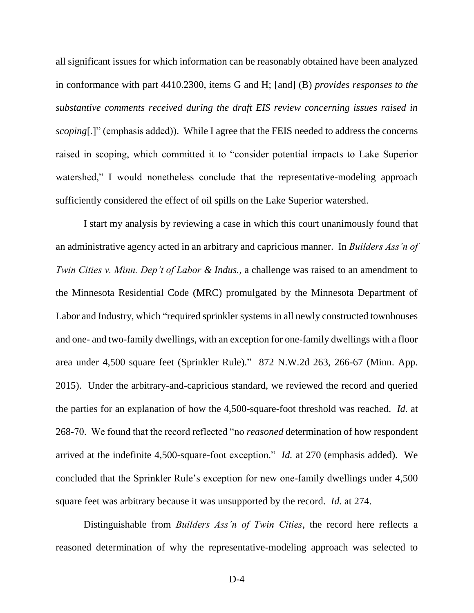all significant issues for which information can be reasonably obtained have been analyzed in conformance with part 4410.2300, items G and H; [and] (B) *provides responses to the substantive comments received during the draft EIS review concerning issues raised in scoping*[.]" (emphasis added)). While I agree that the FEIS needed to address the concerns raised in scoping, which committed it to "consider potential impacts to Lake Superior watershed," I would nonetheless conclude that the representative-modeling approach sufficiently considered the effect of oil spills on the Lake Superior watershed.

I start my analysis by reviewing a case in which this court unanimously found that an administrative agency acted in an arbitrary and capricious manner. In *Builders Ass'n of Twin Cities v. Minn. Dep't of Labor & Indus.*, a challenge was raised to an amendment to the Minnesota Residential Code (MRC) promulgated by the Minnesota Department of Labor and Industry, which "required sprinkler systems in all newly constructed townhouses and one- and two-family dwellings, with an exception for one-family dwellings with a floor area under 4,500 square feet (Sprinkler Rule)." 872 N.W.2d 263, 266-67 (Minn. App. 2015). Under the arbitrary-and-capricious standard, we reviewed the record and queried the parties for an explanation of how the 4,500-square-foot threshold was reached. *Id.* at 268-70. We found that the record reflected "no *reasoned* determination of how respondent arrived at the indefinite 4,500-square-foot exception." *Id.* at 270 (emphasis added). We concluded that the Sprinkler Rule's exception for new one-family dwellings under 4,500 square feet was arbitrary because it was unsupported by the record. *Id.* at 274.

Distinguishable from *Builders Ass'n of Twin Cities*, the record here reflects a reasoned determination of why the representative-modeling approach was selected to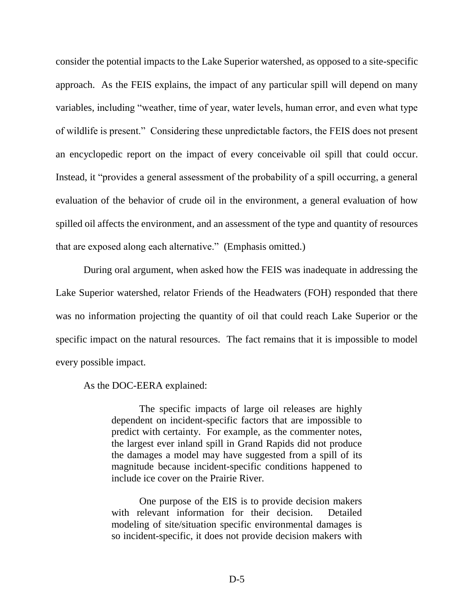consider the potential impacts to the Lake Superior watershed, as opposed to a site-specific approach. As the FEIS explains, the impact of any particular spill will depend on many variables, including "weather, time of year, water levels, human error, and even what type of wildlife is present." Considering these unpredictable factors, the FEIS does not present an encyclopedic report on the impact of every conceivable oil spill that could occur. Instead, it "provides a general assessment of the probability of a spill occurring, a general evaluation of the behavior of crude oil in the environment, a general evaluation of how spilled oil affects the environment, and an assessment of the type and quantity of resources that are exposed along each alternative." (Emphasis omitted.)

During oral argument, when asked how the FEIS was inadequate in addressing the Lake Superior watershed, relator Friends of the Headwaters (FOH) responded that there was no information projecting the quantity of oil that could reach Lake Superior or the specific impact on the natural resources. The fact remains that it is impossible to model every possible impact.

As the DOC-EERA explained:

The specific impacts of large oil releases are highly dependent on incident-specific factors that are impossible to predict with certainty. For example, as the commenter notes, the largest ever inland spill in Grand Rapids did not produce the damages a model may have suggested from a spill of its magnitude because incident-specific conditions happened to include ice cover on the Prairie River.

One purpose of the EIS is to provide decision makers with relevant information for their decision. Detailed modeling of site/situation specific environmental damages is so incident-specific, it does not provide decision makers with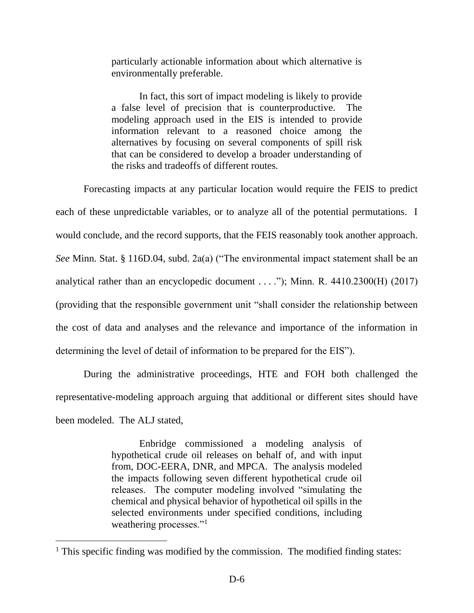particularly actionable information about which alternative is environmentally preferable.

In fact, this sort of impact modeling is likely to provide a false level of precision that is counterproductive. The modeling approach used in the EIS is intended to provide information relevant to a reasoned choice among the alternatives by focusing on several components of spill risk that can be considered to develop a broader understanding of the risks and tradeoffs of different routes.

Forecasting impacts at any particular location would require the FEIS to predict each of these unpredictable variables, or to analyze all of the potential permutations. I would conclude, and the record supports, that the FEIS reasonably took another approach. *See* Minn. Stat. § 116D.04, subd. 2a(a) ("The environmental impact statement shall be an analytical rather than an encyclopedic document  $\dots$ "); Minn. R. 4410.2300(H) (2017) (providing that the responsible government unit "shall consider the relationship between the cost of data and analyses and the relevance and importance of the information in determining the level of detail of information to be prepared for the EIS").

During the administrative proceedings, HTE and FOH both challenged the representative-modeling approach arguing that additional or different sites should have been modeled. The ALJ stated,

> Enbridge commissioned a modeling analysis of hypothetical crude oil releases on behalf of, and with input from, DOC-EERA, DNR, and MPCA. The analysis modeled the impacts following seven different hypothetical crude oil releases. The computer modeling involved "simulating the chemical and physical behavior of hypothetical oil spills in the selected environments under specified conditions, including weathering processes."<sup>1</sup>

 $\overline{a}$ 

<sup>&</sup>lt;sup>1</sup> This specific finding was modified by the commission. The modified finding states: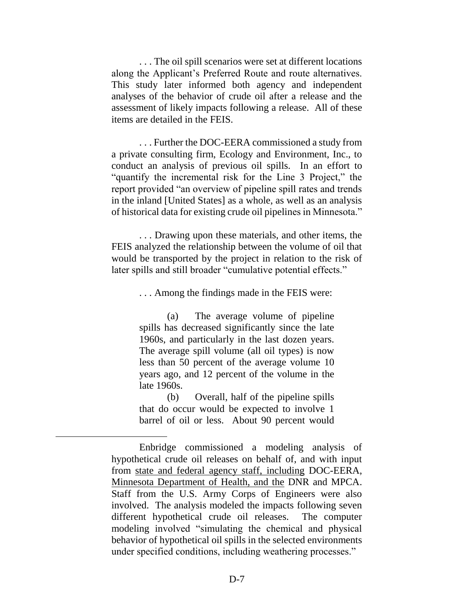. . . The oil spill scenarios were set at different locations along the Applicant's Preferred Route and route alternatives. This study later informed both agency and independent analyses of the behavior of crude oil after a release and the assessment of likely impacts following a release. All of these items are detailed in the FEIS.

. . . Further the DOC-EERA commissioned a study from a private consulting firm, Ecology and Environment, Inc., to conduct an analysis of previous oil spills. In an effort to "quantify the incremental risk for the Line 3 Project," the report provided "an overview of pipeline spill rates and trends in the inland [United States] as a whole, as well as an analysis of historical data for existing crude oil pipelines in Minnesota."

. . . Drawing upon these materials, and other items, the FEIS analyzed the relationship between the volume of oil that would be transported by the project in relation to the risk of later spills and still broader "cumulative potential effects."

. . . Among the findings made in the FEIS were:

(a) The average volume of pipeline spills has decreased significantly since the late 1960s, and particularly in the last dozen years. The average spill volume (all oil types) is now less than 50 percent of the average volume 10 years ago, and 12 percent of the volume in the late 1960s.

(b) Overall, half of the pipeline spills that do occur would be expected to involve 1 barrel of oil or less. About 90 percent would

 $\overline{a}$ 

Enbridge commissioned a modeling analysis of hypothetical crude oil releases on behalf of, and with input from state and federal agency staff, including DOC-EERA, Minnesota Department of Health, and the DNR and MPCA. Staff from the U.S. Army Corps of Engineers were also involved. The analysis modeled the impacts following seven different hypothetical crude oil releases. The computer modeling involved "simulating the chemical and physical behavior of hypothetical oil spills in the selected environments under specified conditions, including weathering processes."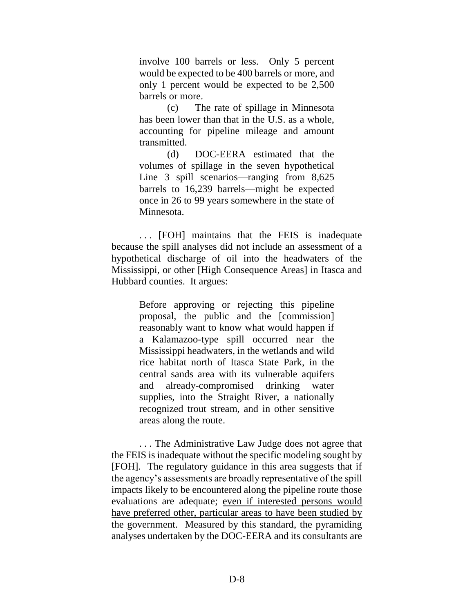involve 100 barrels or less. Only 5 percent would be expected to be 400 barrels or more, and only 1 percent would be expected to be 2,500 barrels or more.

(c) The rate of spillage in Minnesota has been lower than that in the U.S. as a whole, accounting for pipeline mileage and amount transmitted.

(d) DOC-EERA estimated that the volumes of spillage in the seven hypothetical Line 3 spill scenarios—ranging from 8,625 barrels to 16,239 barrels—might be expected once in 26 to 99 years somewhere in the state of Minnesota.

. . . [FOH] maintains that the FEIS is inadequate because the spill analyses did not include an assessment of a hypothetical discharge of oil into the headwaters of the Mississippi, or other [High Consequence Areas] in Itasca and Hubbard counties. It argues:

> Before approving or rejecting this pipeline proposal, the public and the [commission] reasonably want to know what would happen if a Kalamazoo-type spill occurred near the Mississippi headwaters, in the wetlands and wild rice habitat north of Itasca State Park, in the central sands area with its vulnerable aquifers and already-compromised drinking water supplies, into the Straight River, a nationally recognized trout stream, and in other sensitive areas along the route.

. . . The Administrative Law Judge does not agree that the FEIS is inadequate without the specific modeling sought by [FOH]. The regulatory guidance in this area suggests that if the agency's assessments are broadly representative of the spill impacts likely to be encountered along the pipeline route those evaluations are adequate; even if interested persons would have preferred other, particular areas to have been studied by the government. Measured by this standard, the pyramiding analyses undertaken by the DOC-EERA and its consultants are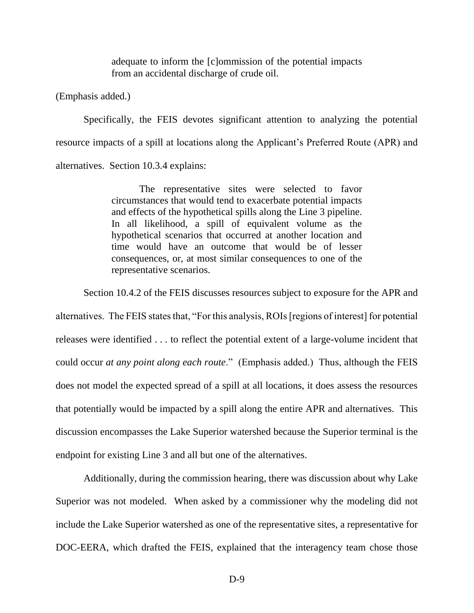adequate to inform the [c]ommission of the potential impacts from an accidental discharge of crude oil.

(Emphasis added.)

Specifically, the FEIS devotes significant attention to analyzing the potential resource impacts of a spill at locations along the Applicant's Preferred Route (APR) and alternatives. Section 10.3.4 explains:

> The representative sites were selected to favor circumstances that would tend to exacerbate potential impacts and effects of the hypothetical spills along the Line 3 pipeline. In all likelihood, a spill of equivalent volume as the hypothetical scenarios that occurred at another location and time would have an outcome that would be of lesser consequences, or, at most similar consequences to one of the representative scenarios.

Section 10.4.2 of the FEIS discusses resources subject to exposure for the APR and

alternatives. The FEIS states that, "For this analysis, ROIs [regions of interest] for potential releases were identified . . . to reflect the potential extent of a large-volume incident that could occur *at any point along each route*." (Emphasis added.) Thus, although the FEIS does not model the expected spread of a spill at all locations, it does assess the resources that potentially would be impacted by a spill along the entire APR and alternatives. This discussion encompasses the Lake Superior watershed because the Superior terminal is the endpoint for existing Line 3 and all but one of the alternatives.

Additionally, during the commission hearing, there was discussion about why Lake Superior was not modeled. When asked by a commissioner why the modeling did not include the Lake Superior watershed as one of the representative sites, a representative for DOC-EERA, which drafted the FEIS, explained that the interagency team chose those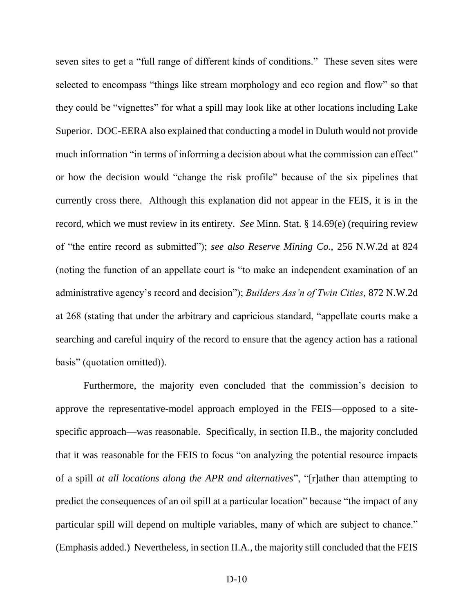seven sites to get a "full range of different kinds of conditions." These seven sites were selected to encompass "things like stream morphology and eco region and flow" so that they could be "vignettes" for what a spill may look like at other locations including Lake Superior. DOC-EERA also explained that conducting a model in Duluth would not provide much information "in terms of informing a decision about what the commission can effect" or how the decision would "change the risk profile" because of the six pipelines that currently cross there. Although this explanation did not appear in the FEIS, it is in the record, which we must review in its entirety. *See* Minn. Stat. § 14.69(e) (requiring review of "the entire record as submitted"); *see also Reserve Mining Co.*, 256 N.W.2d at 824 (noting the function of an appellate court is "to make an independent examination of an administrative agency's record and decision"); *Builders Ass'n of Twin Cities*, 872 N.W.2d at 268 (stating that under the arbitrary and capricious standard, "appellate courts make a searching and careful inquiry of the record to ensure that the agency action has a rational basis" (quotation omitted)).

Furthermore, the majority even concluded that the commission's decision to approve the representative-model approach employed in the FEIS—opposed to a sitespecific approach—was reasonable. Specifically, in section II.B., the majority concluded that it was reasonable for the FEIS to focus "on analyzing the potential resource impacts of a spill *at all locations along the APR and alternatives*", "[r]ather than attempting to predict the consequences of an oil spill at a particular location" because "the impact of any particular spill will depend on multiple variables, many of which are subject to chance." (Emphasis added.) Nevertheless, in section II.A., the majority still concluded that the FEIS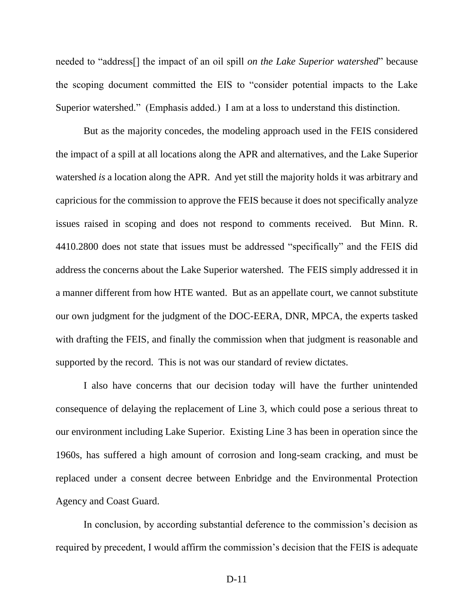needed to "address[] the impact of an oil spill *on the Lake Superior watershed*" because the scoping document committed the EIS to "consider potential impacts to the Lake Superior watershed." (Emphasis added.) I am at a loss to understand this distinction.

But as the majority concedes, the modeling approach used in the FEIS considered the impact of a spill at all locations along the APR and alternatives, and the Lake Superior watershed *is* a location along the APR. And yet still the majority holds it was arbitrary and capricious for the commission to approve the FEIS because it does not specifically analyze issues raised in scoping and does not respond to comments received. But Minn. R. 4410.2800 does not state that issues must be addressed "specifically" and the FEIS did address the concerns about the Lake Superior watershed. The FEIS simply addressed it in a manner different from how HTE wanted. But as an appellate court, we cannot substitute our own judgment for the judgment of the DOC-EERA, DNR, MPCA, the experts tasked with drafting the FEIS, and finally the commission when that judgment is reasonable and supported by the record. This is not was our standard of review dictates.

I also have concerns that our decision today will have the further unintended consequence of delaying the replacement of Line 3, which could pose a serious threat to our environment including Lake Superior. Existing Line 3 has been in operation since the 1960s, has suffered a high amount of corrosion and long-seam cracking, and must be replaced under a consent decree between Enbridge and the Environmental Protection Agency and Coast Guard.

In conclusion, by according substantial deference to the commission's decision as required by precedent, I would affirm the commission's decision that the FEIS is adequate